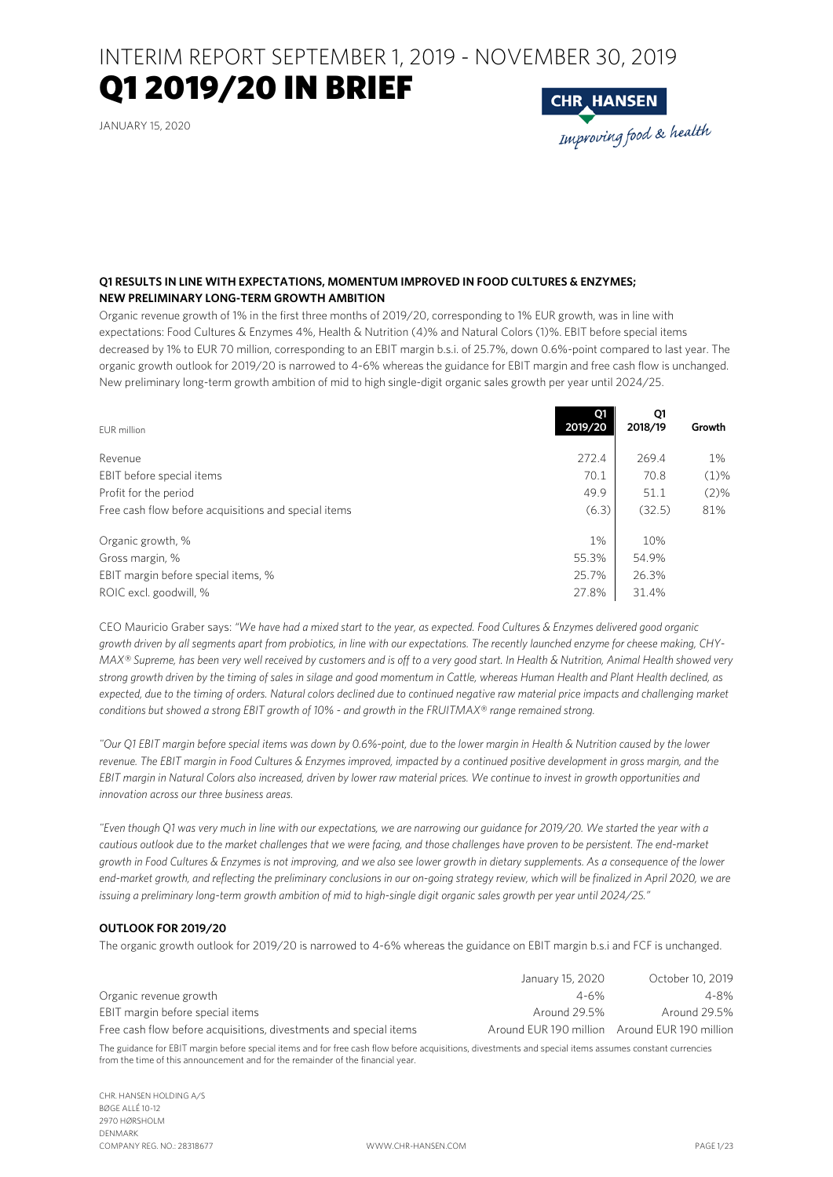# Q1 2019/20 IN BRIEF

JANUARY 15, 2020

**CHR HANSEN**<br>Improving food & health

# **Q1 RESULTS IN LINE WITH EXPECTATIONS, MOMENTUM IMPROVED IN FOOD CULTURES & ENZYMES; NEW PRELIMINARY LONG-TERM GROWTH AMBITION**

Organic revenue growth of 1% in the first three months of 2019/20, corresponding to 1% EUR growth, was in line with expectations: Food Cultures & Enzymes 4%, Health & Nutrition (4)% and Natural Colors (1)%. EBIT before special items decreased by 1% to EUR 70 million, corresponding to an EBIT margin b.s.i. of 25.7%, down 0.6%-point compared to last year. The organic growth outlook for 2019/20 is narrowed to 4-6% whereas the guidance for EBIT margin and free cash flow is unchanged. New preliminary long-term growth ambition of mid to high single-digit organic sales growth per year until 2024/25.

| EUR million                                          | Q1<br>2019/20 | Q1<br>2018/19 | Growth  |
|------------------------------------------------------|---------------|---------------|---------|
| Revenue                                              | 272.4         | 269.4         | $1\%$   |
| EBIT before special items                            | 70.1          | 70.8          | $(1)\%$ |
| Profit for the period                                | 49.9          | 51.1          | $(2)\%$ |
| Free cash flow before acquisitions and special items | (6.3)         | (32.5)        | 81%     |
| Organic growth, %                                    | 1%            | 10%           |         |
| Gross margin, %                                      | 55.3%         | 54.9%         |         |
| EBIT margin before special items, %                  | 25.7%         | 26.3%         |         |
| ROIC excl. goodwill, %                               | 27.8%         | 31.4%         |         |

CEO Mauricio Graber says: *"We have had a mixed start to the year, as expected. Food Cultures & Enzymes delivered good organic growth driven by all segments apart from probiotics, in line with our expectations. The recently launched enzyme for cheese making, CHY-MAX® Supreme, has been very well received by customers and is off to a very good start. In Health & Nutrition, Animal Health showed very strong growth driven by the timing of sales in silage and good momentum in Cattle, whereas Human Health and Plant Health declined, as*  expected, due to the timing of orders. Natural colors declined due to continued negative raw material price impacts and challenging market *conditions but showed a strong EBIT growth of 10% - and growth in the FRUITMAX® range remained strong.* 

*"Our Q1 EBIT margin before special items was down by 0.6%-point, due to the lower margin in Health & Nutrition caused by the lower revenue. The EBIT margin in Food Cultures & Enzymes improved, impacted by a continued positive development in gross margin, and the EBIT margin in Natural Colors also increased, driven by lower raw material prices. We continue to invest in growth opportunities and innovation across our three business areas.* 

*"Even though Q1 was very much in line with our expectations, we are narrowing our guidance for 2019/20. We started the year with a cautious outlook due to the market challenges that we were facing, and those challenges have proven to be persistent. The end-market growth in Food Cultures & Enzymes is not improving, and we also see lower growth in dietary supplements. As a consequence of the lower end-market growth, and reflecting the preliminary conclusions in our on-going strategy review, which will be finalized in April 2020, we are issuing a preliminary long-term growth ambition of mid to high-single digit organic sales growth per year until 2024/25."* 

# **OUTLOOK FOR 2019/20**

The organic growth outlook for 2019/20 is narrowed to 4-6% whereas the guidance on EBIT margin b.s.i and FCF is unchanged.

|                                                                   | January 15, 2020                              | October 10, 2019 |
|-------------------------------------------------------------------|-----------------------------------------------|------------------|
| Organic revenue growth                                            | $4 - 6%$                                      | $4 - 8%$         |
| EBIT margin before special items                                  | Around 29.5%                                  | Around 29.5%     |
| Free cash flow before acquisitions, divestments and special items | Around EUR 190 million Around EUR 190 million |                  |

The guidance for EBIT margin before special items and for free cash flow before acquisitions, divestments and special items assumes constant currencies from the time of this announcement and for the remainder of the financial year.

CHR. HANSEN HOLDING A/S BØGE ALLÉ 10-12 2970 HØRSHOLM DENMARK COMPANY REG. NO.: 28318677 WWW.CHR-HANSEN.COM PAGE 1/23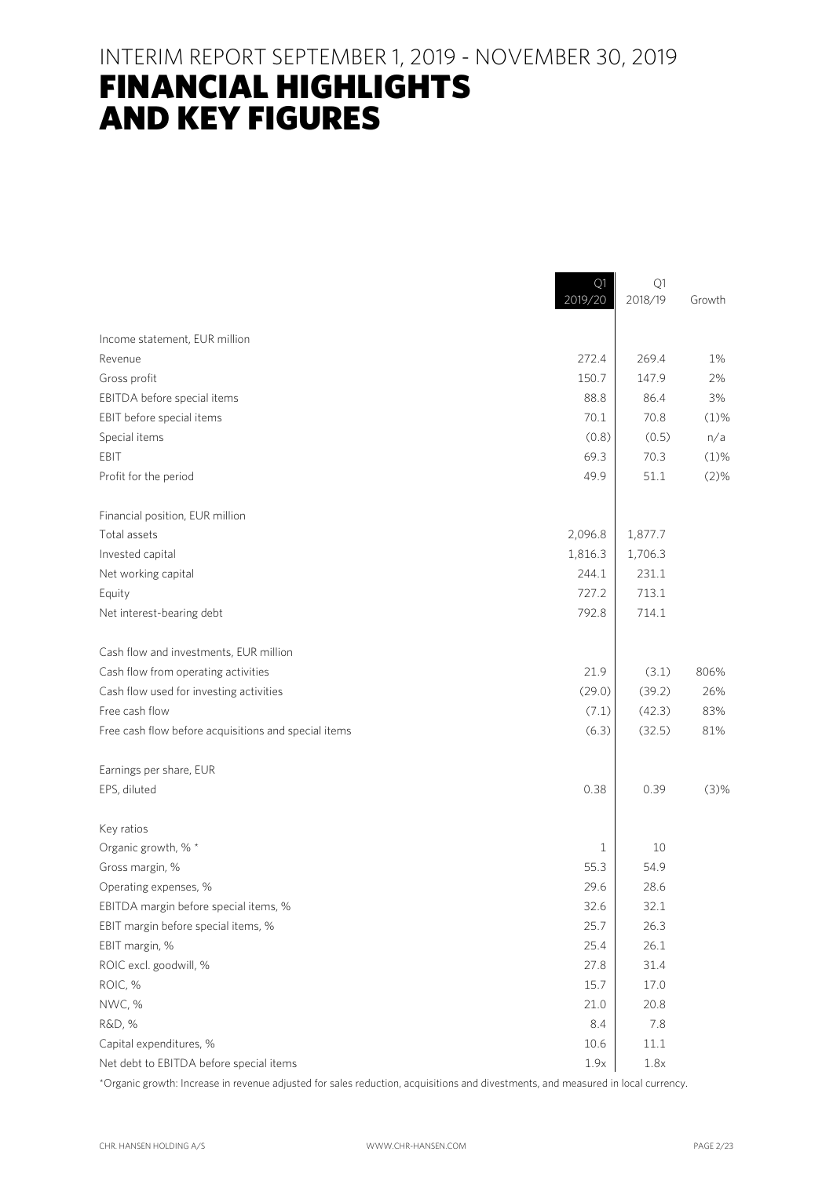# FINANCIAL HIGHLIGHTS AND KEY FIGURES

|                                                      | Q1<br>2019/20 | Q1<br>2018/19 | Growth  |
|------------------------------------------------------|---------------|---------------|---------|
| Income statement, EUR million                        |               |               |         |
| Revenue                                              | 272.4         | 269.4         | 1%      |
| Gross profit                                         | 150.7         | 147.9         | 2%      |
| EBITDA before special items                          | 88.8          | 86.4          | 3%      |
| EBIT before special items                            | 70.1          | 70.8          | $(1)$ % |
| Special items                                        | (0.8)         | (0.5)         | n/a     |
| EBIT                                                 | 69.3          | 70.3          | $(1)$ % |
| Profit for the period                                | 49.9          | 51.1          | (2)%    |
| Financial position, EUR million                      |               |               |         |
| Total assets                                         | 2,096.8       | 1,877.7       |         |
| Invested capital                                     | 1,816.3       | 1,706.3       |         |
| Net working capital                                  | 244.1         | 231.1         |         |
| Equity                                               | 727.2         | 713.1         |         |
| Net interest-bearing debt                            | 792.8         | 714.1         |         |
| Cash flow and investments, EUR million               |               |               |         |
| Cash flow from operating activities                  | 21.9          | (3.1)         | 806%    |
| Cash flow used for investing activities              | (29.0)        | (39.2)        | 26%     |
| Free cash flow                                       | (7.1)         | (42.3)        | 83%     |
| Free cash flow before acquisitions and special items | (6.3)         | (32.5)        | 81%     |
| Earnings per share, EUR                              |               |               |         |
| EPS, diluted                                         | 0.38          | 0.39          | (3)%    |
| Key ratios                                           |               |               |         |
| Organic growth, % *                                  | 1             | 10            |         |
| Gross margin, %                                      | 55.3          | 54.9          |         |
| Operating expenses, %                                | 29.6          | 28.6          |         |
| EBITDA margin before special items, %                | 32.6          | 32.1          |         |
| EBIT margin before special items, %                  | 25.7          | 26.3          |         |
| EBIT margin, %                                       | 25.4          | 26.1          |         |
| ROIC excl. goodwill, %                               | 27.8          | 31.4          |         |
| ROIC, %                                              | 15.7          | 17.0          |         |
| NWC, %                                               | 21.0          | 20.8          |         |
| R&D, %                                               | 8.4           | 7.8           |         |
| Capital expenditures, %                              | 10.6          | 11.1          |         |
| Net debt to EBITDA before special items              | 1.9x          | 1.8x          |         |

\*Organic growth: Increase in revenue adjusted for sales reduction, acquisitions and divestments, and measured in local currency.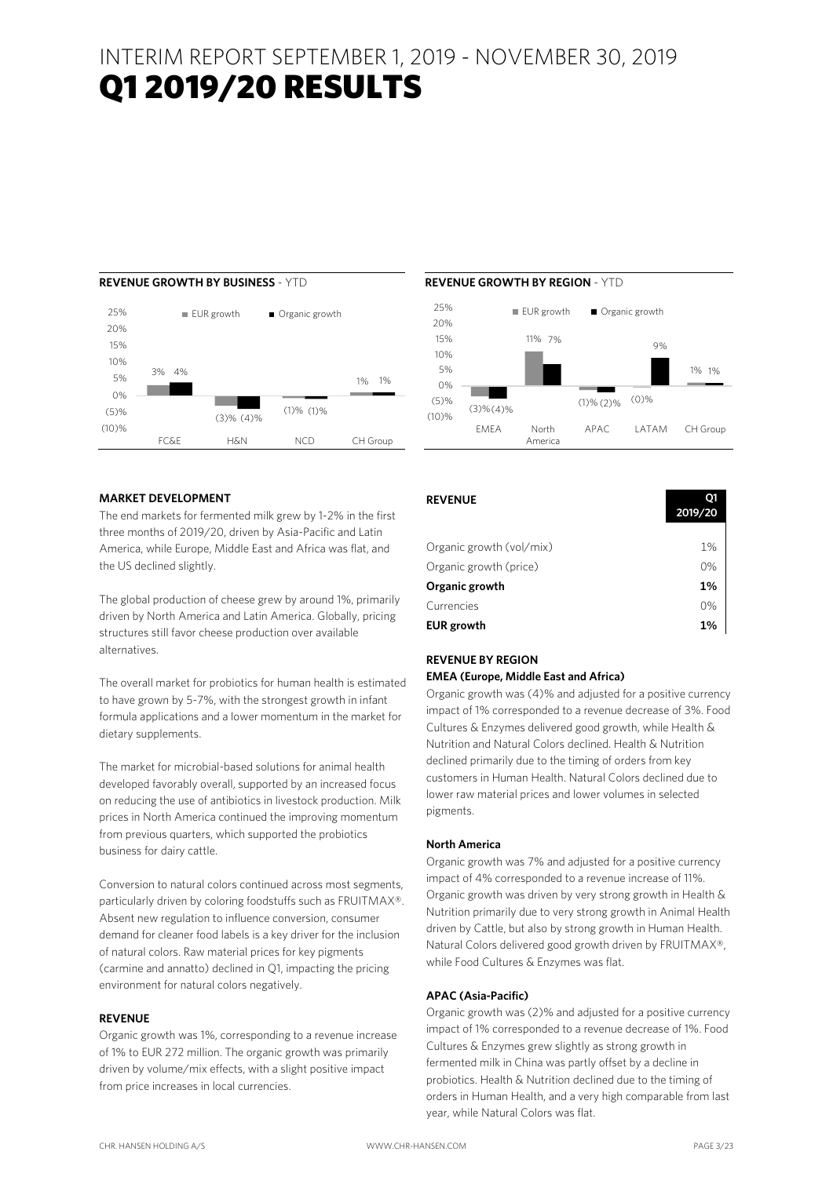# INTERIM REPORT SEPTEMBER 1, 2019 - NOVEMBER 30, 2019 Q1 2019/20 RESULTS

#### 3% 4% (3)% (1)% 1% 1% (4)% (1)% (10)%  $(5)%$  $\bigcap_{\alpha}$ 5% 10% 15% 20% 25% FC&E H&N NCD CH Group EUR growth **Organic growth**

# **MARKET DEVELOPMENT**

The end markets for fermented milk grew by 1-2% in the first three months of 2019/20, driven by Asia-Pacific and Latin America, while Europe, Middle East and Africa was flat, and the US declined slightly.

The global production of cheese grew by around 1%, primarily driven by North America and Latin America. Globally, pricing structures still favor cheese production over available alternatives.

The overall market for probiotics for human health is estimated to have grown by 5-7%, with the strongest growth in infant formula applications and a lower momentum in the market for dietary supplements.

The market for microbial-based solutions for animal health developed favorably overall, supported by an increased focus on reducing the use of antibiotics in livestock production. Milk prices in North America continued the improving momentum from previous quarters, which supported the probiotics business for dairy cattle.

Conversion to natural colors continued across most segments, particularly driven by coloring foodstuffs such as FRUITMAX®. Absent new regulation to influence conversion, consumer demand for cleaner food labels is a key driver for the inclusion of natural colors. Raw material prices for key pigments (carmine and annatto) declined in Q1, impacting the pricing environment for natural colors negatively.

### **REVENUE**

Organic growth was 1%, corresponding to a revenue increase of 1% to EUR 272 million. The organic growth was primarily driven by volume/mix effects, with a slight positive impact from price increases in local currencies.



| <b>REVENUE</b>           | 01<br>2019/20 |
|--------------------------|---------------|
|                          |               |
| Organic growth (vol/mix) | 1%            |
| Organic growth (price)   | 0%            |
| Organic growth           | 1%            |
| Currencies               | 0%            |
| <b>EUR</b> growth        | 1%            |

# **REVENUE BY REGION**

# **EMEA (Europe, Middle East and Africa)**

Organic growth was (4)% and adjusted for a positive currency impact of 1% corresponded to a revenue decrease of 3%. Food Cultures & Enzymes delivered good growth, while Health & Nutrition and Natural Colors declined. Health & Nutrition declined primarily due to the timing of orders from key customers in Human Health. Natural Colors declined due to lower raw material prices and lower volumes in selected pigments.

#### **North America**

Organic growth was 7% and adjusted for a positive currency impact of 4% corresponded to a revenue increase of 11%. Organic growth was driven by very strong growth in Health & Nutrition primarily due to very strong growth in Animal Health driven by Cattle, but also by strong growth in Human Health. Natural Colors delivered good growth driven by FRUITMAX®, while Food Cultures & Enzymes was flat.

#### **APAC (Asia-Pacific)**

Organic growth was (2)% and adjusted for a positive currency impact of 1% corresponded to a revenue decrease of 1%. Food Cultures & Enzymes grew slightly as strong growth in fermented milk in China was partly offset by a decline in probiotics. Health & Nutrition declined due to the timing of orders in Human Health, and a very high comparable from last year, while Natural Colors was flat.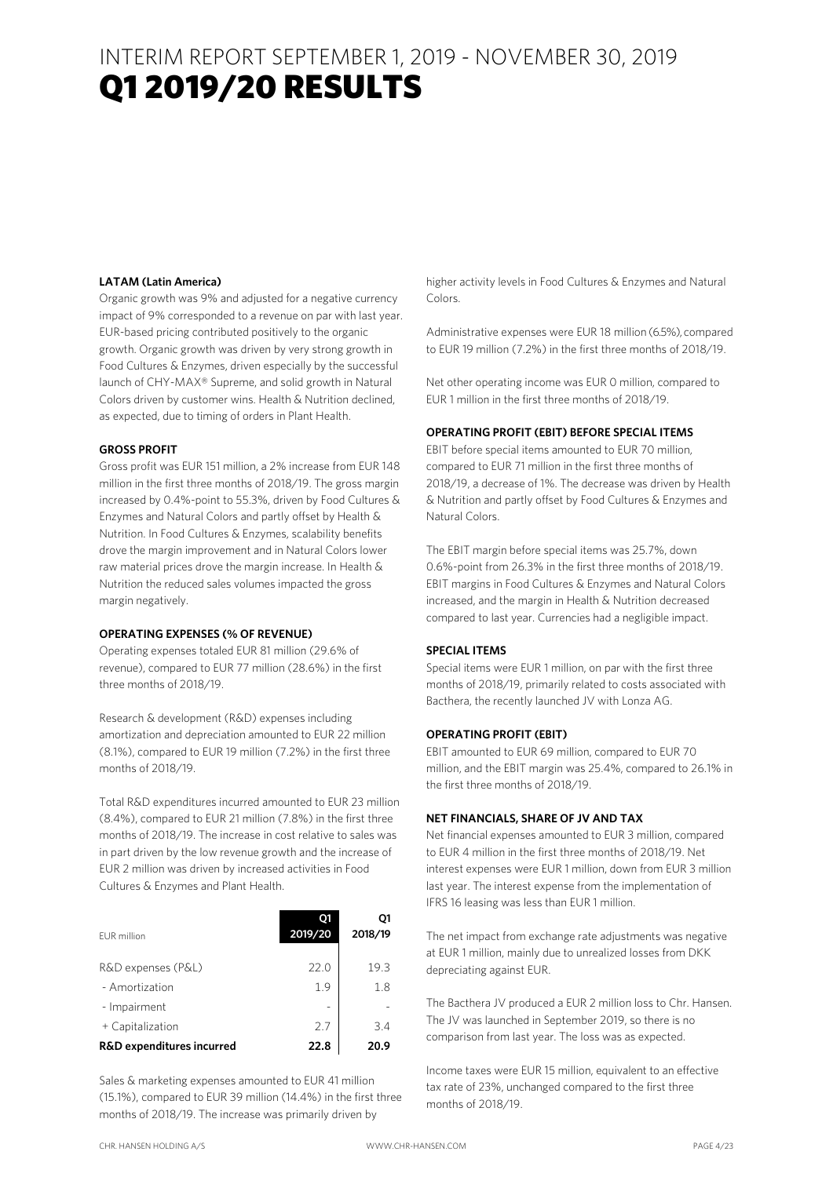# INTERIM REPORT SEPTEMBER 1, 2019 - NOVEMBER 30, 2019 Q1 2019/20 RESULTS

### **LATAM (Latin America)**

Organic growth was 9% and adjusted for a negative currency impact of 9% corresponded to a revenue on par with last year. EUR-based pricing contributed positively to the organic growth. Organic growth was driven by very strong growth in Food Cultures & Enzymes, driven especially by the successful launch of CHY-MAX® Supreme, and solid growth in Natural Colors driven by customer wins. Health & Nutrition declined, as expected, due to timing of orders in Plant Health.

### **GROSS PROFIT**

Gross profit was EUR 151 million, a 2% increase from EUR 148 million in the first three months of 2018/19. The gross margin increased by 0.4%-point to 55.3%, driven by Food Cultures & Enzymes and Natural Colors and partly offset by Health & Nutrition. In Food Cultures & Enzymes, scalability benefits drove the margin improvement and in Natural Colors lower raw material prices drove the margin increase. In Health & Nutrition the reduced sales volumes impacted the gross margin negatively.

#### **OPERATING EXPENSES (% OF REVENUE)**

Operating expenses totaled EUR 81 million (29.6% of revenue), compared to EUR 77 million (28.6%) in the first three months of 2018/19.

Research & development (R&D) expenses including amortization and depreciation amounted to EUR 22 million (8.1%), compared to EUR 19 million (7.2%) in the first three months of 2018/19.

Total R&D expenditures incurred amounted to EUR 23 million (8.4%), compared to EUR 21 million (7.8%) in the first three months of 2018/19. The increase in cost relative to sales was in part driven by the low revenue growth and the increase of EUR 2 million was driven by increased activities in Food Cultures & Enzymes and Plant Health.

| FUR million                          | 01<br>2019/20 | Q1<br>2018/19 |
|--------------------------------------|---------------|---------------|
| R&D expenses (P&L)                   | 22.0          | 19.3          |
| - Amortization                       | 1.9           | 1.8           |
| - Impairment                         |               |               |
| + Capitalization                     | 27            | 3.4           |
| <b>R&amp;D</b> expenditures incurred | 22.8          | 20.9          |

Sales & marketing expenses amounted to EUR 41 million (15.1%), compared to EUR 39 million (14.4%) in the first three months of 2018/19. The increase was primarily driven by

higher activity levels in Food Cultures & Enzymes and Natural Colors.

Administrative expenses were EUR 18 million (6.5%), compared to EUR 19 million (7.2%) in the first three months of 2018/19.

Net other operating income was EUR 0 million, compared to EUR 1 million in the first three months of 2018/19.

#### **OPERATING PROFIT (EBIT) BEFORE SPECIAL ITEMS**

EBIT before special items amounted to EUR 70 million, compared to EUR 71 million in the first three months of 2018/19, a decrease of 1%. The decrease was driven by Health & Nutrition and partly offset by Food Cultures & Enzymes and Natural Colors.

The EBIT margin before special items was 25.7%, down 0.6%-point from 26.3% in the first three months of 2018/19. EBIT margins in Food Cultures & Enzymes and Natural Colors increased, and the margin in Health & Nutrition decreased compared to last year. Currencies had a negligible impact.

### **SPECIAL ITEMS**

Special items were EUR 1 million, on par with the first three months of 2018/19, primarily related to costs associated with Bacthera, the recently launched JV with Lonza AG.

#### **OPERATING PROFIT (EBIT)**

EBIT amounted to EUR 69 million, compared to EUR 70 million, and the EBIT margin was 25.4%, compared to 26.1% in the first three months of 2018/19.

### **NET FINANCIALS, SHARE OF JV AND TAX**

Net financial expenses amounted to EUR 3 million, compared to EUR 4 million in the first three months of 2018/19. Net interest expenses were EUR 1 million, down from EUR 3 million last year. The interest expense from the implementation of IFRS 16 leasing was less than EUR 1 million.

The net impact from exchange rate adjustments was negative at EUR 1 million, mainly due to unrealized losses from DKK depreciating against EUR.

The Bacthera JV produced a EUR 2 million loss to Chr. Hansen. The JV was launched in September 2019, so there is no comparison from last year. The loss was as expected.

Income taxes were EUR 15 million, equivalent to an effective tax rate of 23%, unchanged compared to the first three months of 2018/19.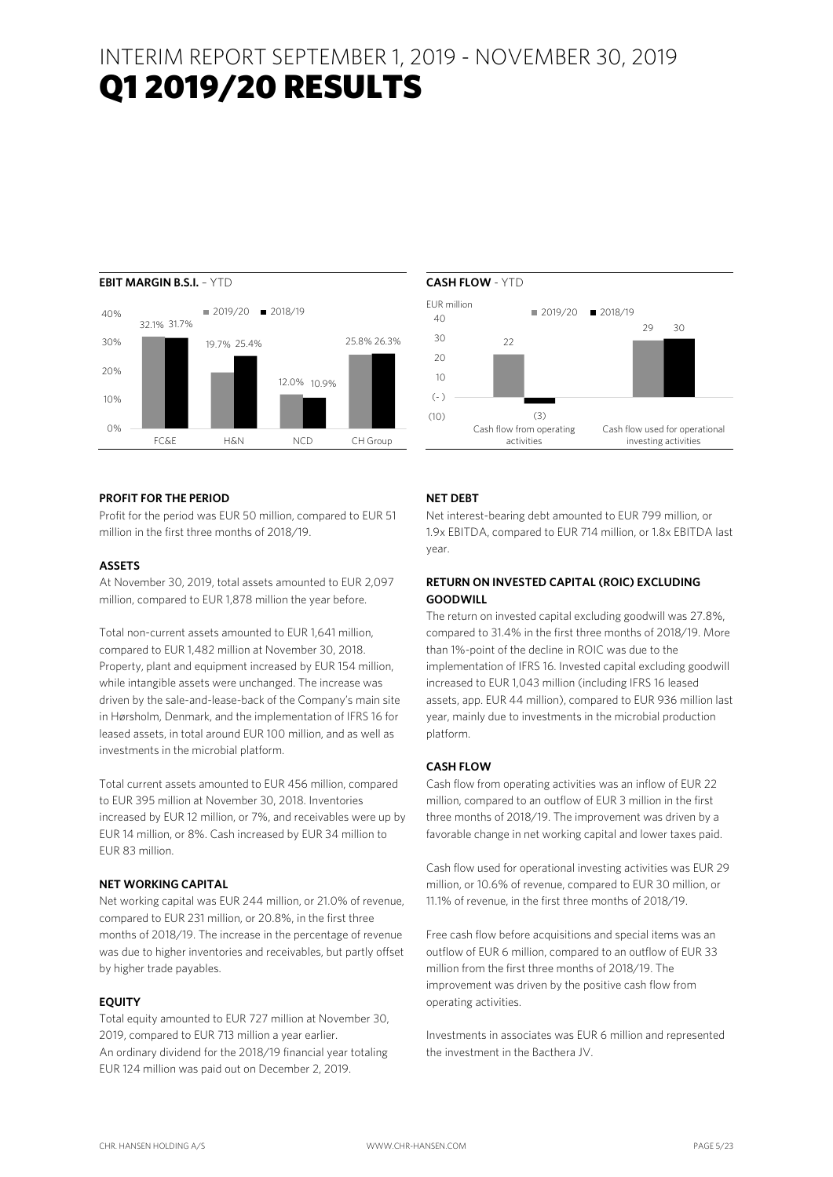# INTERIM REPORT SEPTEMBER 1, 2019 - NOVEMBER 30, 2019 Q1 2019/20 RESULTS



### **PROFIT FOR THE PERIOD**

Profit for the period was EUR 50 million, compared to EUR 51 million in the first three months of 2018/19.

### **ASSETS**

At November 30, 2019, total assets amounted to EUR 2,097 million, compared to EUR 1,878 million the year before.

Total non-current assets amounted to EUR 1,641 million, compared to EUR 1,482 million at November 30, 2018. Property, plant and equipment increased by EUR 154 million, while intangible assets were unchanged. The increase was driven by the sale-and-lease-back of the Company's main site in Hørsholm, Denmark, and the implementation of IFRS 16 for leased assets, in total around EUR 100 million, and as well as investments in the microbial platform.

Total current assets amounted to EUR 456 million, compared to EUR 395 million at November 30, 2018. Inventories increased by EUR 12 million, or 7%, and receivables were up by EUR 14 million, or 8%. Cash increased by EUR 34 million to EUR 83 million.

## **NET WORKING CAPITAL**

Net working capital was EUR 244 million, or 21.0% of revenue, compared to EUR 231 million, or 20.8%, in the first three months of 2018/19. The increase in the percentage of revenue was due to higher inventories and receivables, but partly offset by higher trade payables.

### **EQUITY**

Total equity amounted to EUR 727 million at November 30, 2019, compared to EUR 713 million a year earlier. An ordinary dividend for the 2018/19 financial year totaling EUR 124 million was paid out on December 2, 2019.



### **NET DEBT**

Net interest-bearing debt amounted to EUR 799 million, or 1.9x EBITDA, compared to EUR 714 million, or 1.8x EBITDA last year.

## **RETURN ON INVESTED CAPITAL (ROIC) EXCLUDING GOODWILL**

The return on invested capital excluding goodwill was 27.8%, compared to 31.4% in the first three months of 2018/19. More than 1%-point of the decline in ROIC was due to the implementation of IFRS 16. Invested capital excluding goodwill increased to EUR 1,043 million (including IFRS 16 leased assets, app. EUR 44 million), compared to EUR 936 million last year, mainly due to investments in the microbial production platform.

### **CASH FLOW**

Cash flow from operating activities was an inflow of EUR 22 million, compared to an outflow of EUR 3 million in the first three months of 2018/19. The improvement was driven by a favorable change in net working capital and lower taxes paid.

Cash flow used for operational investing activities was EUR 29 million, or 10.6% of revenue, compared to EUR 30 million, or 11.1% of revenue, in the first three months of 2018/19.

Free cash flow before acquisitions and special items was an outflow of EUR 6 million, compared to an outflow of EUR 33 million from the first three months of 2018/19. The improvement was driven by the positive cash flow from operating activities.

Investments in associates was EUR 6 million and represented the investment in the Bacthera JV.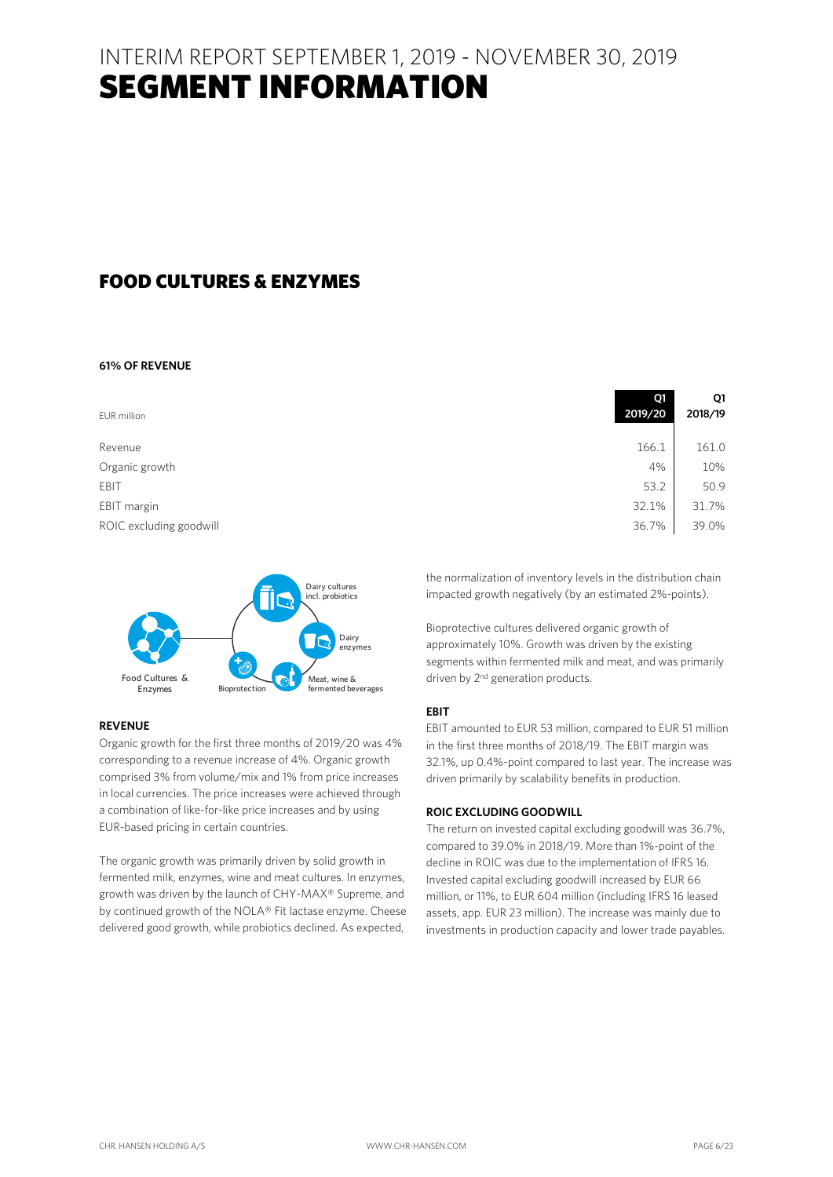# FOOD CULTURES & ENZYMES

### **61% OF REVENUE**

| EUR million             | Q1<br>2019/20 | Q1<br>2018/19 |
|-------------------------|---------------|---------------|
| Revenue                 | 166.1         | 161.0         |
| Organic growth          | 4%            | 10%           |
| EBIT                    | 53.2          | 50.9          |
| EBIT margin             | 32.1%         | 31.7%         |
| ROIC excluding goodwill | 36.7%         | 39.0%         |



# **REVENUE**

Organic growth for the first three months of 2019/20 was 4% corresponding to a revenue increase of 4%. Organic growth comprised 3% from volume/mix and 1% from price increases in local currencies. The price increases were achieved through a combination of like-for-like price increases and by using EUR-based pricing in certain countries.

The organic growth was primarily driven by solid growth in fermented milk, enzymes, wine and meat cultures. In enzymes, growth was driven by the launch of CHY-MAX® Supreme, and by continued growth of the NOLA® Fit lactase enzyme. Cheese delivered good growth, while probiotics declined. As expected,

the normalization of inventory levels in the distribution chain impacted growth negatively (by an estimated 2%-points).

Bioprotective cultures delivered organic growth of approximately 10%. Growth was driven by the existing segments within fermented milk and meat, and was primarily driven by 2<sup>nd</sup> generation products.

### **EBIT**

EBIT amounted to EUR 53 million, compared to EUR 51 million in the first three months of 2018/19. The EBIT margin was 32.1%, up 0.4%-point compared to last year. The increase was driven primarily by scalability benefits in production.

### **ROIC EXCLUDING GOODWILL**

The return on invested capital excluding goodwill was 36.7%, compared to 39.0% in 2018/19. More than 1%-point of the decline in ROIC was due to the implementation of IFRS 16. Invested capital excluding goodwill increased by EUR 66 million, or 11%, to EUR 604 million (including IFRS 16 leased assets, app. EUR 23 million). The increase was mainly due to investments in production capacity and lower trade payables.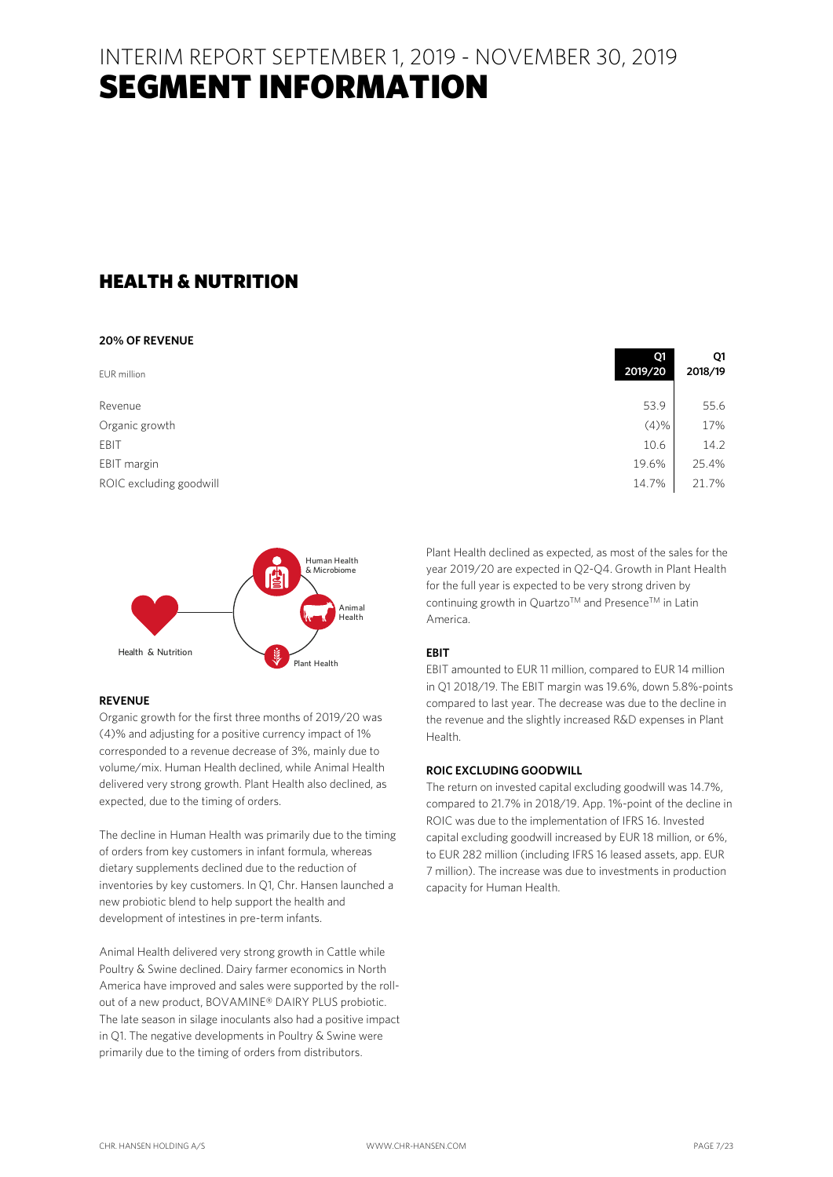# HEALTH & NUTRITION

### **20% OF REVENUE**

| EUR million             | --<br>2019/20 | . .<br>2018/19 |
|-------------------------|---------------|----------------|
| Revenue                 | 53.9          | 55.6           |
| Organic growth          | (4)%          | 17%            |
| EBIT                    | 10.6          | 14.2           |
| EBIT margin             | 19.6%         | 25.4%          |
| ROIC excluding goodwill | 14.7%         | 21.7%          |



# **REVENUE**

Organic growth for the first three months of 2019/20 was (4)% and adjusting for a positive currency impact of 1% corresponded to a revenue decrease of 3%, mainly due to volume/mix. Human Health declined, while Animal Health delivered very strong growth. Plant Health also declined, as expected, due to the timing of orders.

The decline in Human Health was primarily due to the timing of orders from key customers in infant formula, whereas dietary supplements declined due to the reduction of inventories by key customers. In Q1, Chr. Hansen launched a new probiotic blend to help support the health and development of intestines in pre-term infants.

Animal Health delivered very strong growth in Cattle while Poultry & Swine declined. Dairy farmer economics in North America have improved and sales were supported by the rollout of a new product, BOVAMINE® DAIRY PLUS probiotic. The late season in silage inoculants also had a positive impact in Q1. The negative developments in Poultry & Swine were primarily due to the timing of orders from distributors.

| 2019/20 | Ο1<br>2018/19 |
|---------|---------------|
| 53.9    | 55.6          |
| (4)%    | 17%           |
| 10.6    | 14.2          |
| 19.6%   | 25.4%         |
| 14.7%   | 21.7%         |

Plant Health declined as expected, as most of the sales for the year 2019/20 are expected in Q2-Q4. Growth in Plant Health for the full year is expected to be very strong driven by continuing growth in Quartzo™ and Presence™ in Latin America.

## **EBIT**

EBIT amounted to EUR 11 million, compared to EUR 14 million in Q1 2018/19. The EBIT margin was 19.6%, down 5.8%-points compared to last year. The decrease was due to the decline in the revenue and the slightly increased R&D expenses in Plant Health.

### **ROIC EXCLUDING GOODWILL**

The return on invested capital excluding goodwill was 14.7%, compared to 21.7% in 2018/19. App. 1%-point of the decline in ROIC was due to the implementation of IFRS 16. Invested capital excluding goodwill increased by EUR 18 million, or 6%, to EUR 282 million (including IFRS 16 leased assets, app. EUR 7 million). The increase was due to investments in production capacity for Human Health.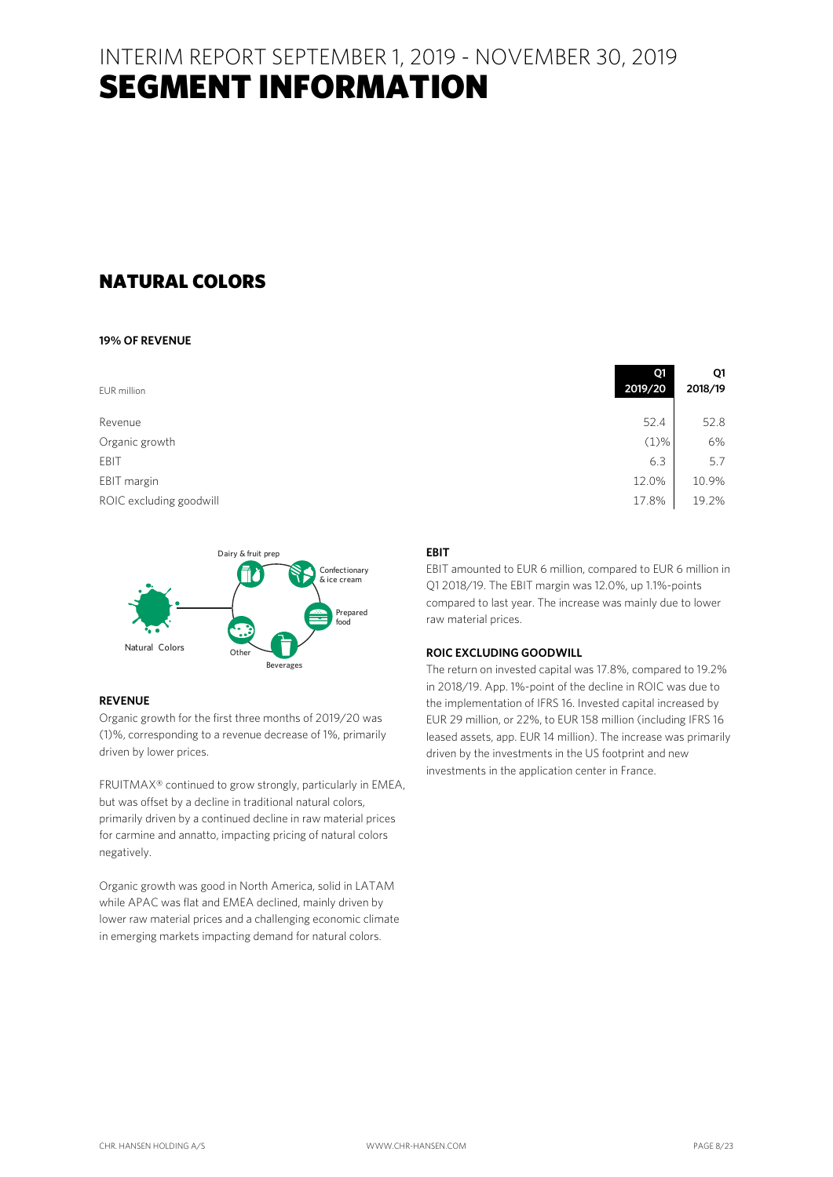# NATURAL COLORS

### **19% OF REVENUE**

EUR million

Revenue 52.4 52.8 Organic growth EBIT 6.3  $\vert$  5.7 EBIT margin 12.0% 10.9% 10.9% 10.9% 12.0% 12.0% 12.0% 12.0% 12.0% 12.0% 12.0% 12.0% 12.0% 12.0% 12.0% 12.0% 12.0% 12.0% 12.0% 12.0% 12.0% 12.0% 12.0% 12.0% 12.0% 12.0% 12.0% 12.0% 12.0% 12.0% 12.0% 12.0% 12.0% 12.0% 12.0% ROIC excluding goodwill Dairy & fruit prep



# **REVENUE**

Organic growth for the first three months of 2019/20 was (1)%, corresponding to a revenue decrease of 1%, primarily driven by lower prices.

FRUITMAX® continued to grow strongly, particularly in EMEA, but was offset by a decline in traditional natural colors, primarily driven by a continued decline in raw material prices for carmine and annatto, impacting pricing of natural colors negatively.

Organic growth was good in North America, solid in LATAM while APAC was flat and EMEA declined, mainly driven by lower raw material prices and a challenging economic climate in emerging markets impacting demand for natural colors.

| 2019/20 | Q1<br>2018/19 |
|---------|---------------|
|         |               |
| 52.4    | 52.8          |
| $(1)\%$ | 6%            |
| 6.3     | 5.7           |
| 12.0%   | 10.9%         |
| 17.8%   | 19.2%         |

# **EBIT**

EBIT amounted to EUR 6 million, compared to EUR 6 million in Q1 2018/19. The EBIT margin was 12.0%, up 1.1%-points compared to last year. The increase was mainly due to lower raw material prices.

# **ROIC EXCLUDING GOODWILL**

The return on invested capital was 17.8%, compared to 19.2% in 2018/19. App. 1%-point of the decline in ROIC was due to the implementation of IFRS 16. Invested capital increased by EUR 29 million, or 22%, to EUR 158 million (including IFRS 16 leased assets, app. EUR 14 million). The increase was primarily driven by the investments in the US footprint and new investments in the application center in France.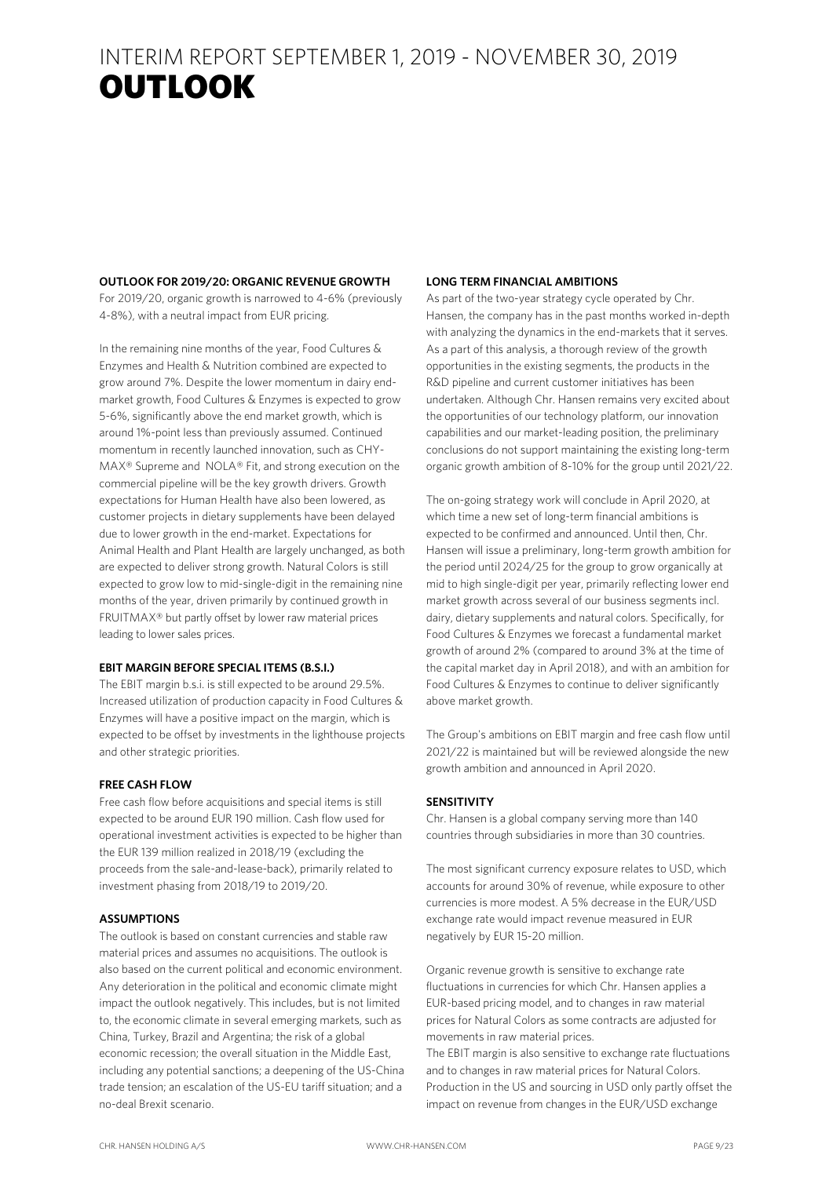# INTERIM REPORT SEPTEMBER 1, 2019 - NOVEMBER 30, 2019 OUTLOOK **RESULTS**

### **OUTLOOK FOR 2019/20: ORGANIC REVENUE GROWTH**

For 2019/20, organic growth is narrowed to 4-6% (previously 4-8%), with a neutral impact from EUR pricing.

In the remaining nine months of the year, Food Cultures & Enzymes and Health & Nutrition combined are expected to grow around 7%. Despite the lower momentum in dairy endmarket growth, Food Cultures & Enzymes is expected to grow 5-6%, significantly above the end market growth, which is around 1%-point less than previously assumed. Continued momentum in recently launched innovation, such as CHY-MAX® Supreme and NOLA® Fit, and strong execution on the commercial pipeline will be the key growth drivers. Growth expectations for Human Health have also been lowered, as customer projects in dietary supplements have been delayed due to lower growth in the end-market. Expectations for Animal Health and Plant Health are largely unchanged, as both are expected to deliver strong growth. Natural Colors is still expected to grow low to mid-single-digit in the remaining nine months of the year, driven primarily by continued growth in FRUITMAX® but partly offset by lower raw material prices leading to lower sales prices.

### **EBIT MARGIN BEFORE SPECIAL ITEMS (B.S.I.)**

The EBIT margin b.s.i. is still expected to be around 29.5%. Increased utilization of production capacity in Food Cultures & Enzymes will have a positive impact on the margin, which is expected to be offset by investments in the lighthouse projects and other strategic priorities.

### **FREE CASH FLOW**

Free cash flow before acquisitions and special items is still expected to be around EUR 190 million. Cash flow used for operational investment activities is expected to be higher than the EUR 139 million realized in 2018/19 (excluding the proceeds from the sale-and-lease-back), primarily related to investment phasing from 2018/19 to 2019/20.

### **ASSUMPTIONS**

The outlook is based on constant currencies and stable raw material prices and assumes no acquisitions. The outlook is also based on the current political and economic environment. Any deterioration in the political and economic climate might impact the outlook negatively. This includes, but is not limited to, the economic climate in several emerging markets, such as China, Turkey, Brazil and Argentina; the risk of a global economic recession; the overall situation in the Middle East, including any potential sanctions; a deepening of the US-China trade tension; an escalation of the US-EU tariff situation; and a no-deal Brexit scenario.

### **LONG TERM FINANCIAL AMBITIONS**

As part of the two-year strategy cycle operated by Chr. Hansen, the company has in the past months worked in-depth with analyzing the dynamics in the end-markets that it serves. As a part of this analysis, a thorough review of the growth opportunities in the existing segments, the products in the R&D pipeline and current customer initiatives has been undertaken. Although Chr. Hansen remains very excited about the opportunities of our technology platform, our innovation capabilities and our market-leading position, the preliminary conclusions do not support maintaining the existing long-term organic growth ambition of 8-10% for the group until 2021/22.

The on-going strategy work will conclude in April 2020, at which time a new set of long-term financial ambitions is expected to be confirmed and announced. Until then, Chr. Hansen will issue a preliminary, long-term growth ambition for the period until 2024/25 for the group to grow organically at mid to high single-digit per year, primarily reflecting lower end market growth across several of our business segments incl. dairy, dietary supplements and natural colors. Specifically, for Food Cultures & Enzymes we forecast a fundamental market growth of around 2% (compared to around 3% at the time of the capital market day in April 2018), and with an ambition for Food Cultures & Enzymes to continue to deliver significantly above market growth.

The Group's ambitions on EBIT margin and free cash flow until 2021/22 is maintained but will be reviewed alongside the new growth ambition and announced in April 2020.

## **SENSITIVITY**

Chr. Hansen is a global company serving more than 140 countries through subsidiaries in more than 30 countries.

The most significant currency exposure relates to USD, which accounts for around 30% of revenue, while exposure to other currencies is more modest. A 5% decrease in the EUR/USD exchange rate would impact revenue measured in EUR negatively by EUR 15-20 million.

Organic revenue growth is sensitive to exchange rate fluctuations in currencies for which Chr. Hansen applies a EUR-based pricing model, and to changes in raw material prices for Natural Colors as some contracts are adjusted for movements in raw material prices.

The EBIT margin is also sensitive to exchange rate fluctuations and to changes in raw material prices for Natural Colors. Production in the US and sourcing in USD only partly offset the impact on revenue from changes in the EUR/USD exchange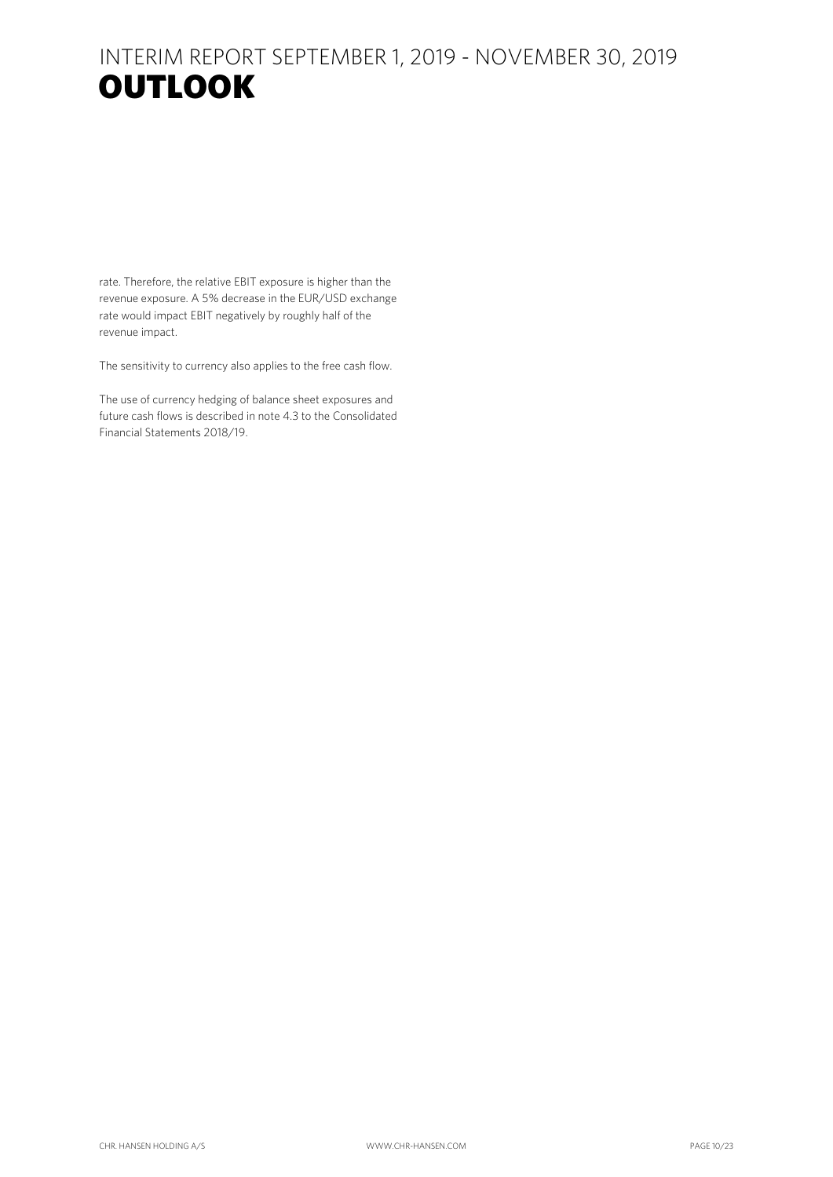# INTERIM REPORT SEPTEMBER 1, 2019 - NOVEMBER 30, 2019 OUTLOOK DIE DIE SOOK

rate. Therefore, the relative EBIT exposure is higher than the revenue exposure. A 5% decrease in the EUR/USD exchange rate would impact EBIT negatively by roughly half of the revenue impact.

The sensitivity to currency also applies to the free cash flow.

The use of currency hedging of balance sheet exposures and future cash flows is described in note 4.3 to the Consolidated Financial Statements 2018/19.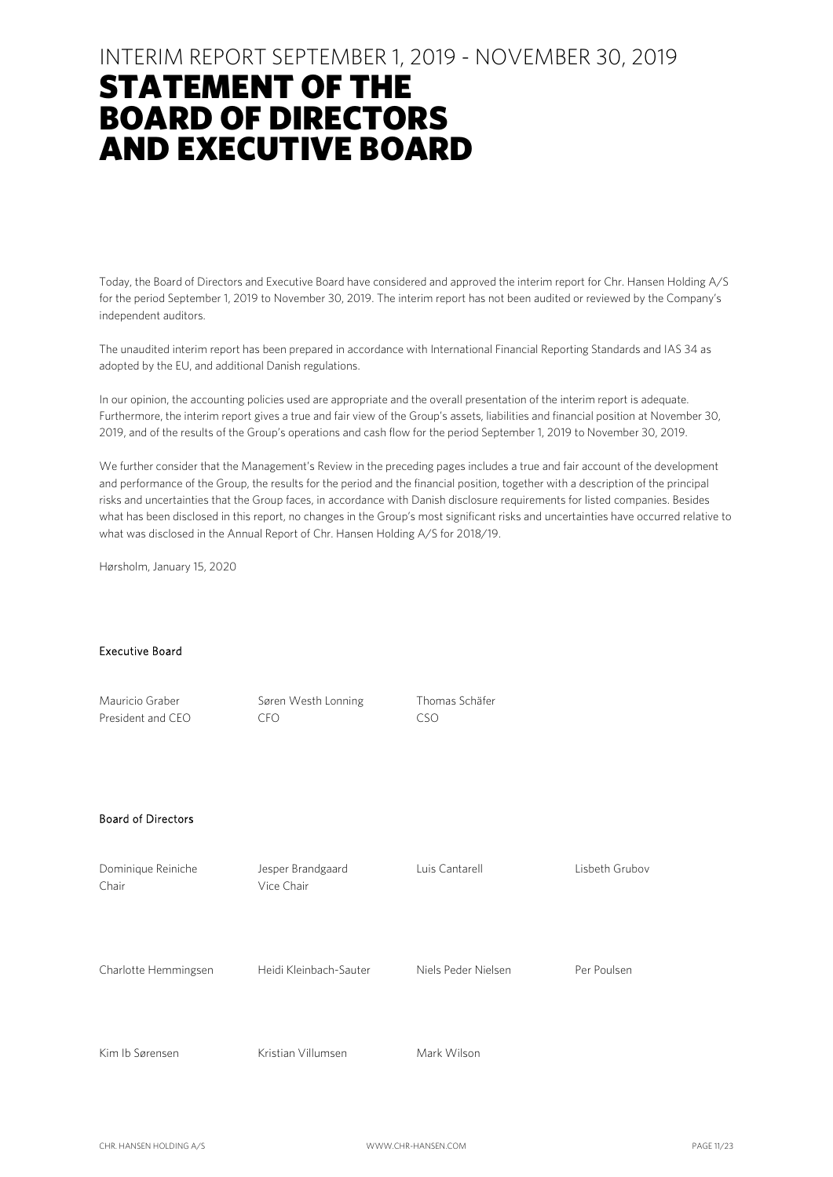# STATEMENT OF THE BOARD OF DIRECTORS AND EXECUTIVE BOARD

Today, the Board of Directors and Executive Board have considered and approved the interim report for Chr. Hansen Holding A/S for the period September 1, 2019 to November 30, 2019. The interim report has not been audited or reviewed by the Company's independent auditors.

The unaudited interim report has been prepared in accordance with International Financial Reporting Standards and IAS 34 as adopted by the EU, and additional Danish regulations.

In our opinion, the accounting policies used are appropriate and the overall presentation of the interim report is adequate. Furthermore, the interim report gives a true and fair view of the Group's assets, liabilities and financial position at November 30, 2019, and of the results of the Group's operations and cash flow for the period September 1, 2019 to November 30, 2019.

We further consider that the Management's Review in the preceding pages includes a true and fair account of the development and performance of the Group, the results for the period and the financial position, together with a description of the principal risks and uncertainties that the Group faces, in accordance with Danish disclosure requirements for listed companies. Besides what has been disclosed in this report, no changes in the Group's most significant risks and uncertainties have occurred relative to what was disclosed in the Annual Report of Chr. Hansen Holding A/S for 2018/19.

Hørsholm, January 15, 2020

#### Executive Board

| Mauricio Graber<br>President and CEO | Søren Westh Lonning<br><b>CFO</b> | Thomas Schäfer<br><b>CSO</b> |                |
|--------------------------------------|-----------------------------------|------------------------------|----------------|
| <b>Board of Directors</b>            |                                   |                              |                |
| Dominique Reiniche<br>Chair          | Jesper Brandgaard<br>Vice Chair   | Luis Cantarell               | Lisbeth Grubov |
| Charlotte Hemmingsen                 | Heidi Kleinbach-Sauter            | Niels Peder Nielsen          | Per Poulsen    |
| Kim Ib Sørensen                      | Kristian Villumsen                | Mark Wilson                  |                |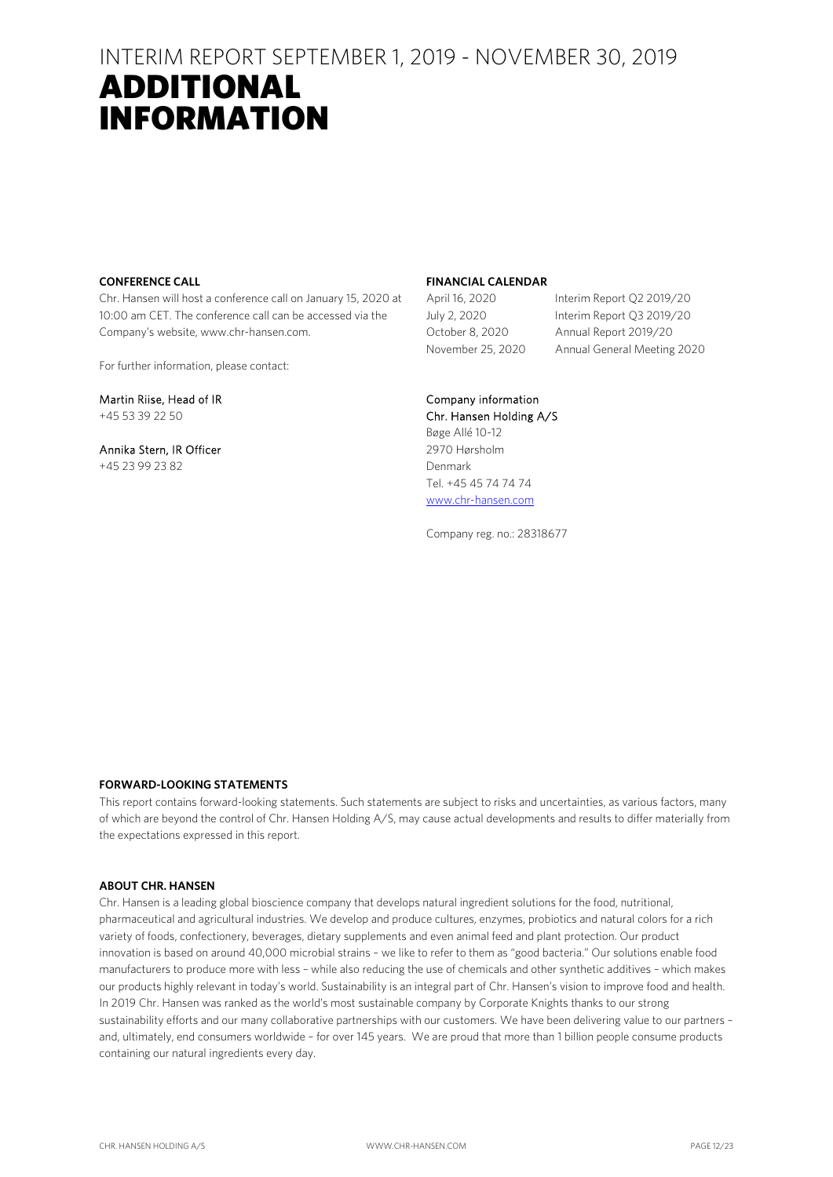# ADDITIONAL INFORMATION

### **CONFERENCE CALL**

Chr. Hansen will host a conference call on January 15, 2020 at 10:00 am CET. The conference call can be accessed via the Company's website, www.chr-hansen.com.

For further information, please contact:

Martin Riise, Head of IR +45 53 39 22 50

Annika Stern, IR Officer +45 23 99 23 82

### **FINANCIAL CALENDAR**

April 16, 2020 Interim Report Q2 2019/20 July 2, 2020 Interim Report Q3 2019/20 October 8, 2020 Annual Report 2019/20 November 25, 2020 Annual General Meeting 2020

# Company information

Chr. Hansen Holding A/S Bøge Allé 10-12 2970 Hørsholm Denmark Tel. +45 45 74 74 74 www.chr-hansen.com

Company reg. no.: 28318677

### **FORWARD-LOOKING STATEMENTS**

This report contains forward-looking statements. Such statements are subject to risks and uncertainties, as various factors, many of which are beyond the control of Chr. Hansen Holding A/S, may cause actual developments and results to differ materially from the expectations expressed in this report.

### **ABOUT CHR. HANSEN**

Chr. Hansen is a leading global bioscience company that develops natural ingredient solutions for the food, nutritional, pharmaceutical and agricultural industries. We develop and produce cultures, enzymes, probiotics and natural colors for a rich variety of foods, confectionery, beverages, dietary supplements and even animal feed and plant protection. Our product innovation is based on around 40,000 microbial strains – we like to refer to them as "good bacteria." Our solutions enable food manufacturers to produce more with less – while also reducing the use of chemicals and other synthetic additives – which makes our products highly relevant in today's world. Sustainability is an integral part of Chr. Hansen's vision to improve food and health. In 2019 Chr. Hansen was ranked as the world's most sustainable company by Corporate Knights thanks to our strong sustainability efforts and our many collaborative partnerships with our customers. We have been delivering value to our partners – and, ultimately, end consumers worldwide – for over 145 years. We are proud that more than 1 billion people consume products containing our natural ingredients every day.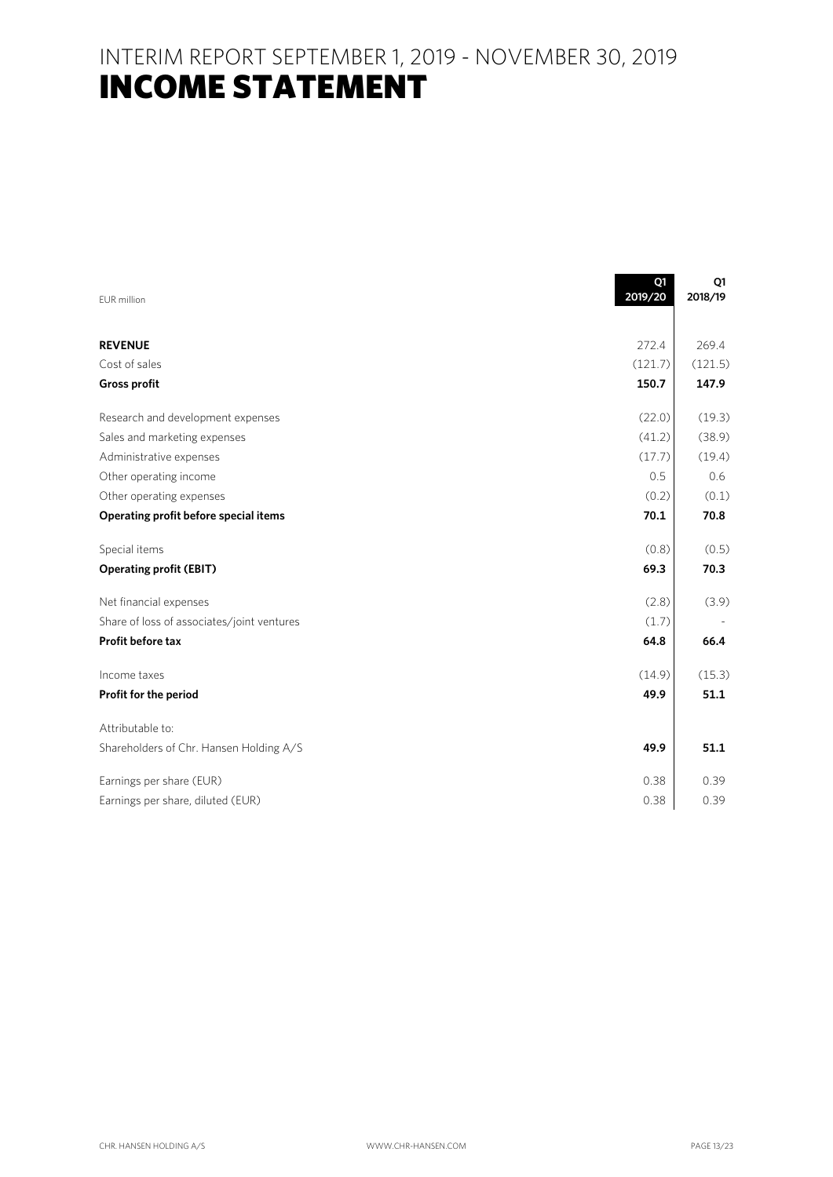INTERIM REPORT SEPTEMBER 1, 2019 - NOVEMBER 30, 2019 **INCOME STATEMENT** 

|                                            | Q1<br>2019/20 | Q1<br>2018/19 |
|--------------------------------------------|---------------|---------------|
| EUR million                                |               |               |
| <b>REVENUE</b>                             | 272.4         | 269.4         |
| Cost of sales                              | (121.7)       | (121.5)       |
| <b>Gross profit</b>                        | 150.7         | 147.9         |
| Research and development expenses          | (22.0)        | (19.3)        |
| Sales and marketing expenses               | (41.2)        | (38.9)        |
| Administrative expenses                    | (17.7)        | (19.4)        |
| Other operating income                     | 0.5           | 0.6           |
| Other operating expenses                   | (0.2)         | (0.1)         |
| Operating profit before special items      | 70.1          | 70.8          |
| Special items                              | (0.8)         | (0.5)         |
| <b>Operating profit (EBIT)</b>             | 69.3          | 70.3          |
| Net financial expenses                     | (2.8)         | (3.9)         |
| Share of loss of associates/joint ventures | (1.7)         |               |
| <b>Profit before tax</b>                   | 64.8          | 66.4          |
| Income taxes                               | (14.9)        | (15.3)        |
| Profit for the period                      | 49.9          | 51.1          |
| Attributable to:                           |               |               |
| Shareholders of Chr. Hansen Holding A/S    | 49.9          | 51.1          |
| Earnings per share (EUR)                   | 0.38          | 0.39          |
| Earnings per share, diluted (EUR)          | 0.38          | 0.39          |

 $\blacksquare$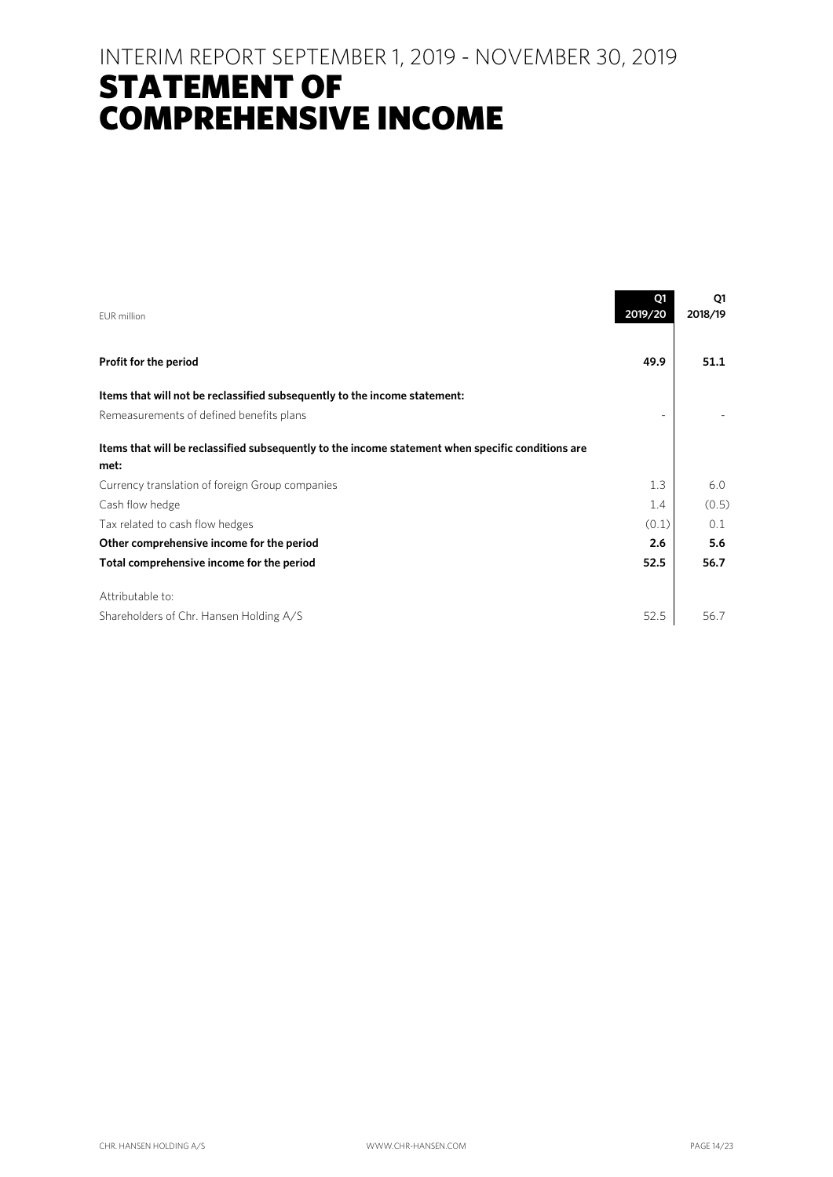# INTERIM REPORT SEPTEMBER 1, 2019 - NOVEMBER 30, 2019 STATEMENT OF COMPREHENSIVE INCOME

| <b>EUR</b> million                                                                                | Q1<br>2019/20 | Q1<br>2018/19 |
|---------------------------------------------------------------------------------------------------|---------------|---------------|
| Profit for the period                                                                             | 49.9          | 51.1          |
| Items that will not be reclassified subsequently to the income statement:                         |               |               |
| Remeasurements of defined benefits plans                                                          |               |               |
| Items that will be reclassified subsequently to the income statement when specific conditions are |               |               |
| met:                                                                                              |               |               |
| Currency translation of foreign Group companies                                                   | 1.3           | 6.0           |
| Cash flow hedge                                                                                   | 1.4           | (0.5)         |
| Tax related to cash flow hedges                                                                   | (0.1)         | 0.1           |
| Other comprehensive income for the period                                                         | 2.6           | 5.6           |
| Total comprehensive income for the period                                                         | 52.5          | 56.7          |
| Attributable to:                                                                                  |               |               |
| Shareholders of Chr. Hansen Holding A/S                                                           | 52.5          | 56.7          |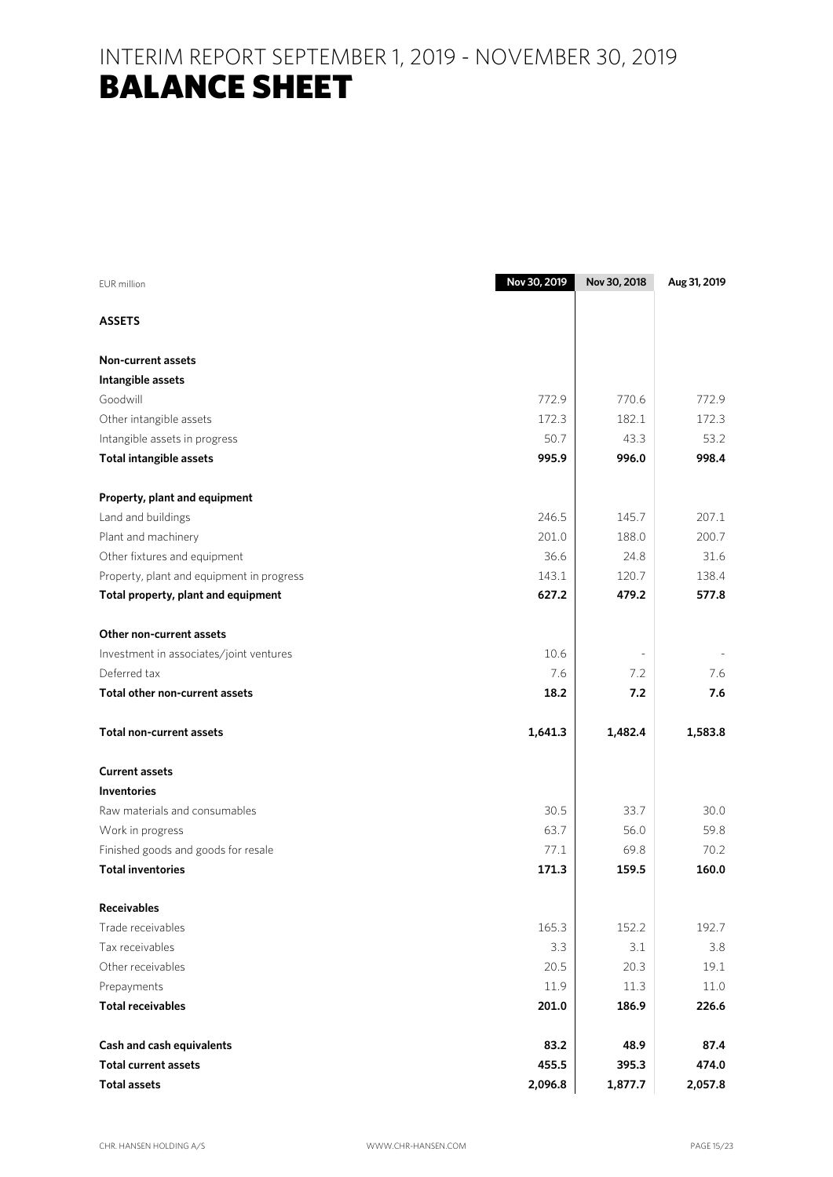# INTERIM REPORT SEPTEMBER 1, 2019 - NOVEMBER 30, 2019 **BALANCE SHEET**

| <b>EUR</b> million                        | Nov 30, 2019 | Nov 30, 2018 | Aug 31, 2019 |
|-------------------------------------------|--------------|--------------|--------------|
| <b>ASSETS</b>                             |              |              |              |
| Non-current assets                        |              |              |              |
| Intangible assets                         |              |              |              |
| Goodwill                                  | 772.9        | 770.6        | 772.9        |
| Other intangible assets                   | 172.3        | 182.1        | 172.3        |
| Intangible assets in progress             | 50.7         | 43.3         | 53.2         |
| <b>Total intangible assets</b>            | 995.9        | 996.0        | 998.4        |
| Property, plant and equipment             |              |              |              |
| Land and buildings                        | 246.5        | 145.7        | 207.1        |
| Plant and machinery                       | 201.0        | 188.0        | 200.7        |
| Other fixtures and equipment              | 36.6         | 24.8         | 31.6         |
| Property, plant and equipment in progress | 143.1        | 120.7        | 138.4        |
| Total property, plant and equipment       | 627.2        | 479.2        | 577.8        |
| Other non-current assets                  |              |              |              |
| Investment in associates/joint ventures   | 10.6         |              |              |
| Deferred tax                              | 7.6          | 7.2          | 7.6          |
| Total other non-current assets            | 18.2         | 7.2          | 7.6          |
| <b>Total non-current assets</b>           | 1,641.3      | 1,482.4      | 1,583.8      |
| <b>Current assets</b>                     |              |              |              |
| <b>Inventories</b>                        |              |              |              |
| Raw materials and consumables             | 30.5         | 33.7         | 30.0         |
| Work in progress                          | 63.7         | 56.0         | 59.8         |
| Finished goods and goods for resale       | 77.1         | 69.8         | 70.2         |
| <b>Total inventories</b>                  | 171.3        | 159.5        | 160.0        |
| <b>Receivables</b>                        |              |              |              |
| Trade receivables                         | 165.3        | 152.2        | 192.7        |
| Tax receivables                           | 3.3          | 3.1          | 3.8          |
| Other receivables                         | 20.5         | 20.3         | 19.1         |
| Prepayments                               | 11.9         | 11.3         | 11.0         |
| <b>Total receivables</b>                  | 201.0        | 186.9        | 226.6        |
| Cash and cash equivalents                 | 83.2         | 48.9         | 87.4         |
| <b>Total current assets</b>               | 455.5        | 395.3        | 474.0        |
| <b>Total assets</b>                       | 2,096.8      | 1,877.7      | 2,057.8      |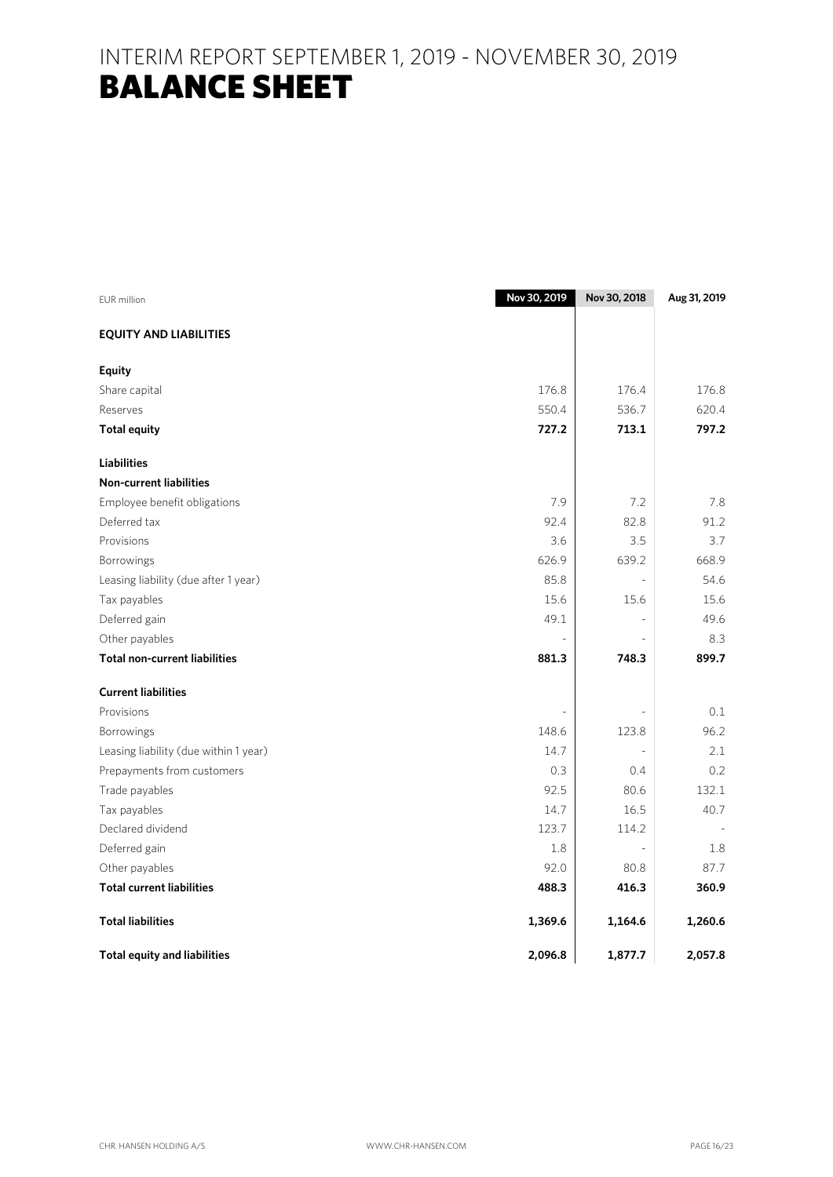# INTERIM REPORT SEPTEMBER 1, 2019 - NOVEMBER 30, 2019 **BALANCE SHEET**

| <b>EUR</b> million                    | Nov 30, 2019 | Nov 30, 2018   | Aug 31, 2019 |
|---------------------------------------|--------------|----------------|--------------|
| <b>EQUITY AND LIABILITIES</b>         |              |                |              |
| <b>Equity</b>                         |              |                |              |
| Share capital                         | 176.8        | 176.4          | 176.8        |
| Reserves                              | 550.4        | 536.7          | 620.4        |
| <b>Total equity</b>                   | 727.2        | 713.1          | 797.2        |
| <b>Liabilities</b>                    |              |                |              |
| <b>Non-current liabilities</b>        |              |                |              |
| Employee benefit obligations          | 7.9          | 7.2            | 7.8          |
| Deferred tax                          | 92.4         | 82.8           | 91.2         |
| Provisions                            | 3.6          | 3.5            | 3.7          |
| Borrowings                            | 626.9        | 639.2          | 668.9        |
| Leasing liability (due after 1 year)  | 85.8         | $\overline{a}$ | 54.6         |
| Tax payables                          | 15.6         | 15.6           | 15.6         |
| Deferred gain                         | 49.1         |                | 49.6         |
| Other payables                        |              |                | 8.3          |
| <b>Total non-current liabilities</b>  | 881.3        | 748.3          | 899.7        |
| <b>Current liabilities</b>            |              |                |              |
| Provisions                            |              |                | 0.1          |
| Borrowings                            | 148.6        | 123.8          | 96.2         |
| Leasing liability (due within 1 year) | 14.7         |                | 2.1          |
| Prepayments from customers            | 0.3          | 0.4            | 0.2          |
| Trade payables                        | 92.5         | 80.6           | 132.1        |
| Tax payables                          | 14.7         | 16.5           | 40.7         |
| Declared dividend                     | 123.7        | 114.2          |              |
| Deferred gain                         | 1.8          | $\overline{a}$ | 1.8          |
| Other payables                        | 92.0         | 80.8           | 87.7         |
| <b>Total current liabilities</b>      | 488.3        | 416.3          | 360.9        |
| <b>Total liabilities</b>              | 1,369.6      | 1,164.6        | 1,260.6      |
| <b>Total equity and liabilities</b>   | 2,096.8      | 1,877.7        | 2,057.8      |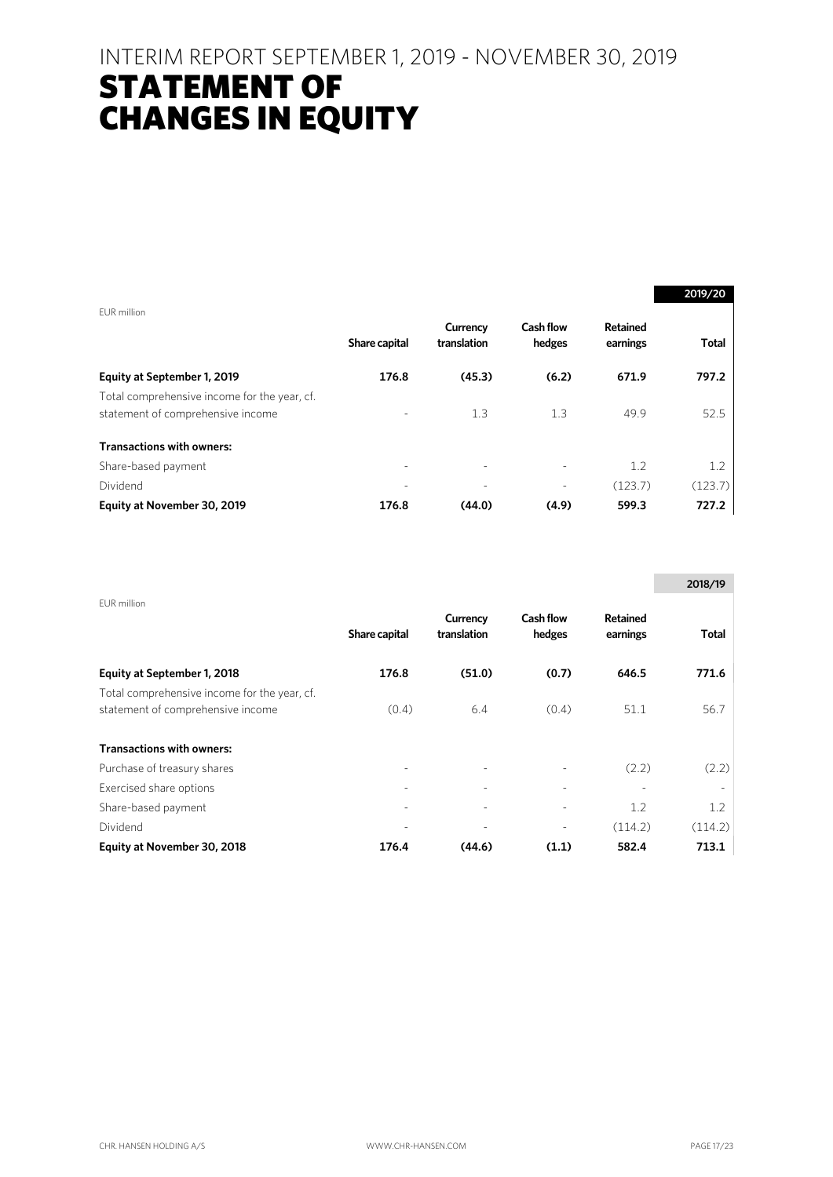# STATEMENT OF CHANGES IN EQUITY

| EUR million                                  |                          |                          |                            |                      | 2019/20      |
|----------------------------------------------|--------------------------|--------------------------|----------------------------|----------------------|--------------|
|                                              | Share capital            | Currency<br>translation  | <b>Cash flow</b><br>hedges | Retained<br>earnings | <b>Total</b> |
| Equity at September 1, 2019                  | 176.8                    | (45.3)                   | (6.2)                      | 671.9                | 797.2        |
| Total comprehensive income for the year, cf. |                          |                          |                            |                      |              |
| statement of comprehensive income            | $\overline{\phantom{0}}$ | 1.3                      | 1.3                        | 49.9                 | 52.5         |
| <b>Transactions with owners:</b>             |                          |                          |                            |                      |              |
| Share-based payment                          |                          |                          |                            | 1.2                  | 1.2          |
| Dividend                                     |                          | $\overline{\phantom{0}}$ | $\overline{\phantom{0}}$   | (123.7)              | (123.7)      |
| Equity at November 30, 2019                  | 176.8                    | (44.0)                   | (4.9)                      | 599.3                | 727.2        |

|                                                                                   |               |                         |                     |                      | 2018/19      |
|-----------------------------------------------------------------------------------|---------------|-------------------------|---------------------|----------------------|--------------|
| EUR million                                                                       | Share capital | Currency<br>translation | Cash flow<br>hedges | Retained<br>earnings | <b>Total</b> |
| Equity at September 1, 2018                                                       | 176.8         | (51.0)                  | (0.7)               | 646.5                | 771.6        |
| Total comprehensive income for the year, cf.<br>statement of comprehensive income | (0.4)         | 6.4                     | (0.4)               | 51.1                 | 56.7         |
| <b>Transactions with owners:</b>                                                  |               |                         |                     |                      |              |
| Purchase of treasury shares                                                       |               |                         |                     | (2.2)                | (2.2)        |
| Exercised share options                                                           |               |                         |                     |                      |              |
| Share-based payment                                                               |               | ٠                       |                     | 1.2                  | 1.2          |
| Dividend                                                                          |               |                         |                     | (114.2)              | (114.2)      |
| Equity at November 30, 2018                                                       | 176.4         | (44.6)                  | (1.1)               | 582.4                | 713.1        |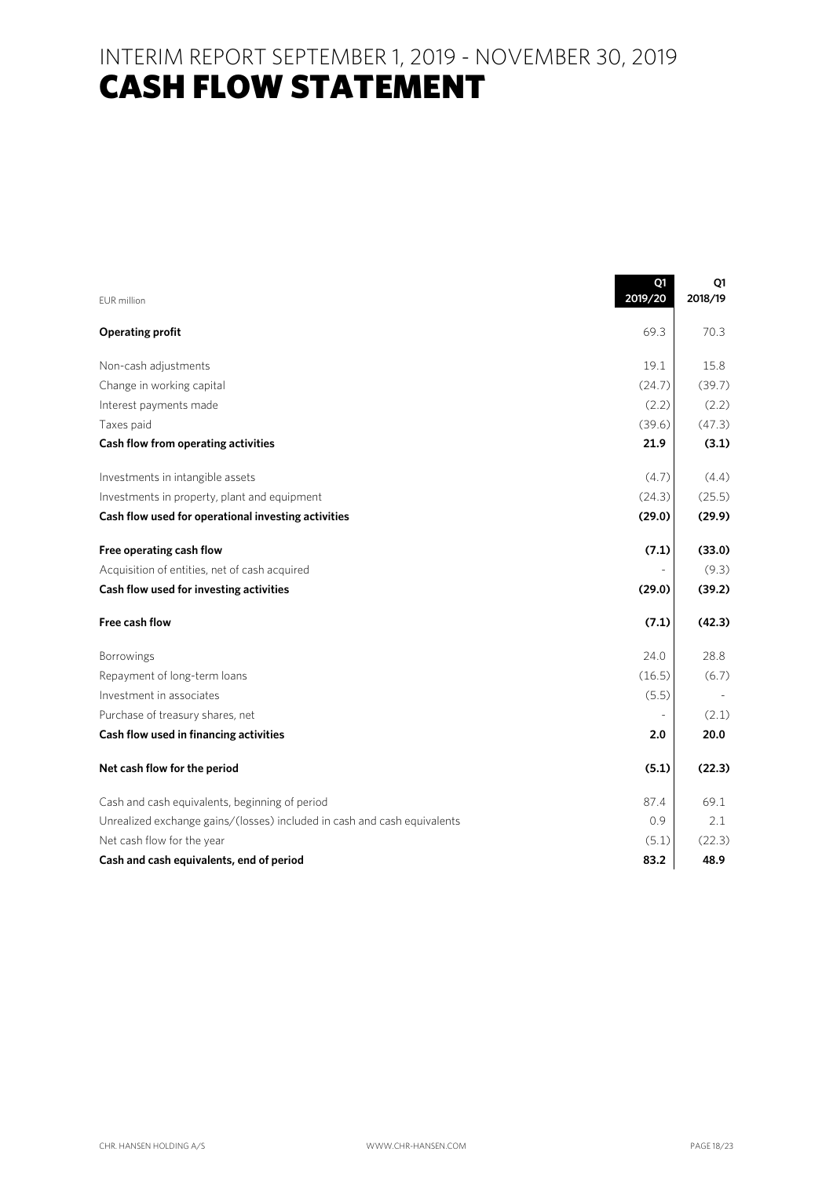# **CASH FLOW STATEMENT**

| <b>EUR</b> million                                                       | Q1<br>2019/20 | Q1<br>2018/19 |
|--------------------------------------------------------------------------|---------------|---------------|
|                                                                          |               |               |
| <b>Operating profit</b>                                                  | 69.3          | 70.3          |
| Non-cash adjustments                                                     | 19.1          | 15.8          |
| Change in working capital                                                | (24.7)        | (39.7)        |
| Interest payments made                                                   | (2.2)         | (2.2)         |
| Taxes paid                                                               | (39.6)        | (47.3)        |
| Cash flow from operating activities                                      | 21.9          | (3.1)         |
| Investments in intangible assets                                         | (4.7)         | (4.4)         |
| Investments in property, plant and equipment                             | (24.3)        | (25.5)        |
| Cash flow used for operational investing activities                      | (29.0)        | (29.9)        |
| Free operating cash flow                                                 | (7.1)         | (33.0)        |
| Acquisition of entities, net of cash acquired                            |               | (9.3)         |
| Cash flow used for investing activities                                  | (29.0)        | (39.2)        |
| Free cash flow                                                           | (7.1)         | (42.3)        |
| Borrowings                                                               | 24.0          | 28.8          |
| Repayment of long-term loans                                             | (16.5)        | (6.7)         |
| Investment in associates                                                 | (5.5)         |               |
| Purchase of treasury shares, net                                         |               | (2.1)         |
| Cash flow used in financing activities                                   | 2.0           | 20.0          |
| Net cash flow for the period                                             | (5.1)         | (22.3)        |
| Cash and cash equivalents, beginning of period                           | 87.4          | 69.1          |
| Unrealized exchange gains/(losses) included in cash and cash equivalents | 0.9           | 2.1           |
| Net cash flow for the year                                               | (5.1)         | (22.3)        |
| Cash and cash equivalents, end of period                                 | 83.2          | 48.9          |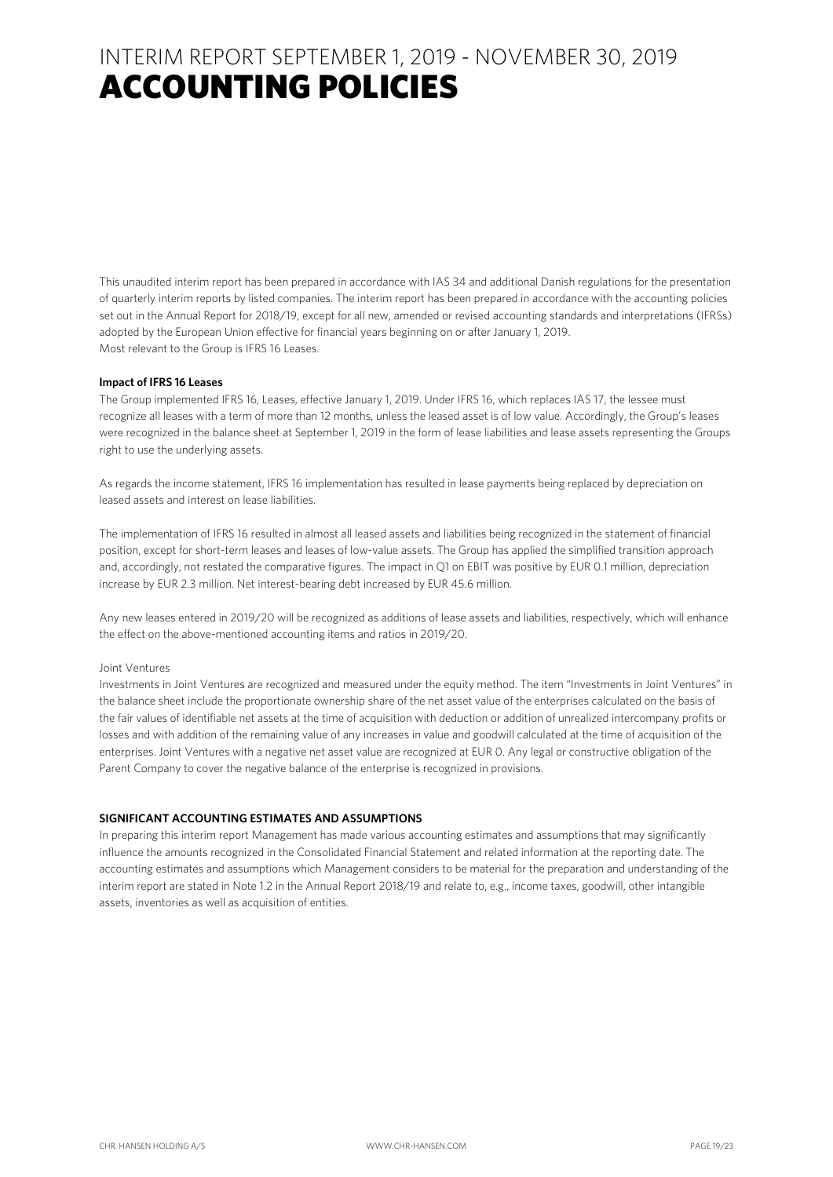This unaudited interim report has been prepared in accordance with IAS 34 and additional Danish regulations for the presentation of quarterly interim reports by listed companies. The interim report has been prepared in accordance with the accounting policies set out in the Annual Report for 2018/19, except for all new, amended or revised accounting standards and interpretations (IFRSs) adopted by the European Union effective for financial years beginning on or after January 1, 2019. Most relevant to the Group is IFRS 16 Leases.

#### **Impact of IFRS 16 Leases**

The Group implemented IFRS 16, Leases, effective January 1, 2019. Under IFRS 16, which replaces IAS 17, the lessee must recognize all leases with a term of more than 12 months, unless the leased asset is of low value. Accordingly, the Group's leases were recognized in the balance sheet at September 1, 2019 in the form of lease liabilities and lease assets representing the Groups right to use the underlying assets.

As regards the income statement, IFRS 16 implementation has resulted in lease payments being replaced by depreciation on leased assets and interest on lease liabilities.

The implementation of IFRS 16 resulted in almost all leased assets and liabilities being recognized in the statement of financial position, except for short-term leases and leases of low-value assets. The Group has applied the simplified transition approach and, accordingly, not restated the comparative figures. The impact in Q1 on EBIT was positive by EUR 0.1 million, depreciation increase by EUR 2.3 million. Net interest-bearing debt increased by EUR 45.6 million.

Any new leases entered in 2019/20 will be recognized as additions of lease assets and liabilities, respectively, which will enhance the effect on the above-mentioned accounting items and ratios in 2019/20.

#### Joint Ventures

Investments in Joint Ventures are recognized and measured under the equity method. The item "Investments in Joint Ventures" in the balance sheet include the proportionate ownership share of the net asset value of the enterprises calculated on the basis of the fair values of identifiable net assets at the time of acquisition with deduction or addition of unrealized intercompany profits or losses and with addition of the remaining value of any increases in value and goodwill calculated at the time of acquisition of the enterprises. Joint Ventures with a negative net asset value are recognized at EUR 0. Any legal or constructive obligation of the Parent Company to cover the negative balance of the enterprise is recognized in provisions.

### **SIGNIFICANT ACCOUNTING ESTIMATES AND ASSUMPTIONS**

In preparing this interim report Management has made various accounting estimates and assumptions that may significantly influence the amounts recognized in the Consolidated Financial Statement and related information at the reporting date. The accounting estimates and assumptions which Management considers to be material for the preparation and understanding of the interim report are stated in Note 1.2 in the Annual Report 2018/19 and relate to, e.g., income taxes, goodwill, other intangible assets, inventories as well as acquisition of entities.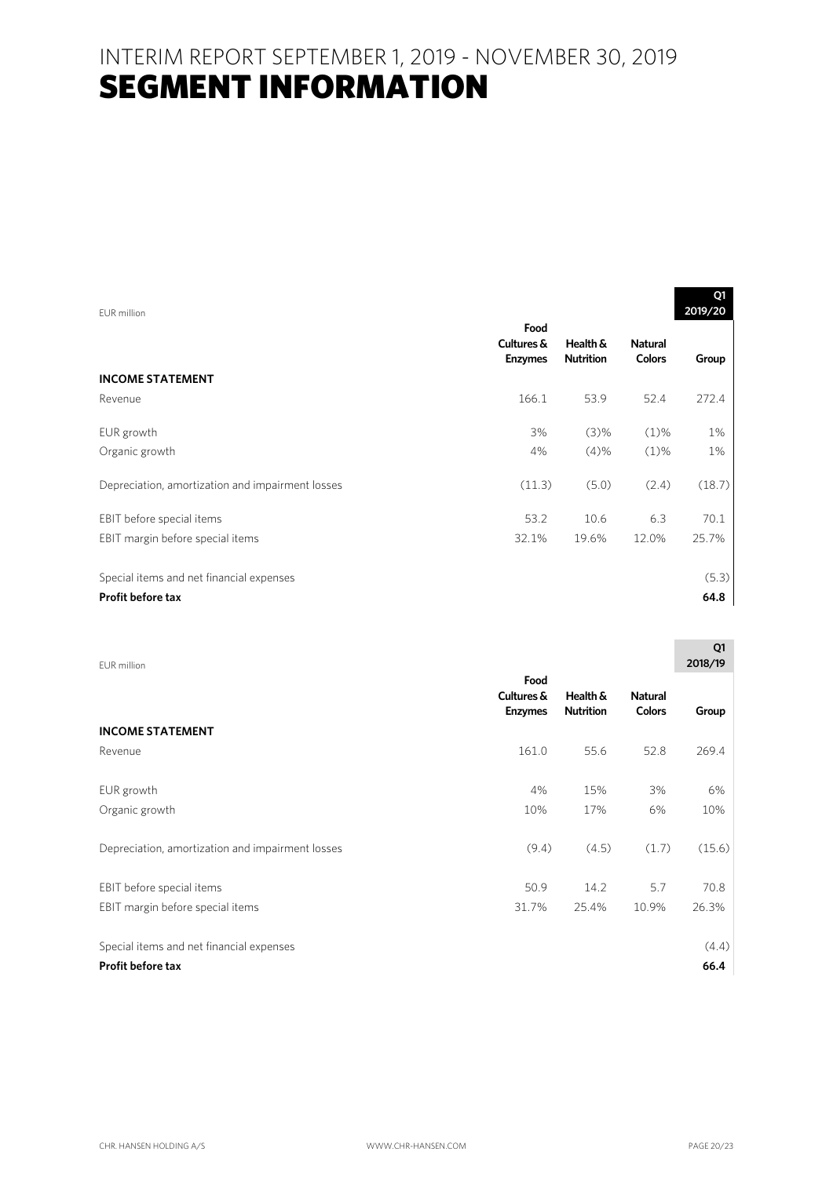| FUR million                                      |                                      |                              |                                 | Q1<br>2019/20 |
|--------------------------------------------------|--------------------------------------|------------------------------|---------------------------------|---------------|
|                                                  | Food<br>Cultures &<br><b>Enzymes</b> | Health &<br><b>Nutrition</b> | <b>Natural</b><br><b>Colors</b> | Group         |
| <b>INCOME STATEMENT</b>                          |                                      |                              |                                 |               |
| Revenue                                          | 166.1                                | 53.9                         | 52.4                            | 272.4         |
| EUR growth                                       | 3%                                   | (3)%                         | $(1)\%$                         | 1%            |
| Organic growth                                   | 4%                                   | (4)%                         | $(1)\%$                         | 1%            |
| Depreciation, amortization and impairment losses | (11.3)                               | (5.0)                        | (2.4)                           | (18.7)        |
| EBIT before special items                        | 53.2                                 | 10.6                         | 6.3                             | 70.1          |
| EBIT margin before special items                 | 32.1%                                | 19.6%                        | 12.0%                           | 25.7%         |
| Special items and net financial expenses         |                                      |                              |                                 | (5.3)         |
| <b>Profit before tax</b>                         |                                      |                              |                                 | 64.8          |

| FUR million                                      |                                      |                              |                                 | Q1<br>2018/19 |
|--------------------------------------------------|--------------------------------------|------------------------------|---------------------------------|---------------|
|                                                  | Food<br>Cultures &<br><b>Enzymes</b> | Health &<br><b>Nutrition</b> | <b>Natural</b><br><b>Colors</b> | Group         |
| <b>INCOME STATEMENT</b>                          |                                      |                              |                                 |               |
| Revenue                                          | 161.0                                | 55.6                         | 52.8                            | 269.4         |
| EUR growth                                       | 4%                                   | 15%                          | 3%                              | 6%            |
| Organic growth                                   | 10%                                  | 17%                          | 6%                              | 10%           |
| Depreciation, amortization and impairment losses | (9.4)                                | (4.5)                        | (1.7)                           | (15.6)        |
| EBIT before special items                        | 50.9                                 | 14.2                         | 5.7                             | 70.8          |
| EBIT margin before special items                 | 31.7%                                | 25.4%                        | 10.9%                           | 26.3%         |
| Special items and net financial expenses         |                                      |                              |                                 | (4.4)         |
| <b>Profit before tax</b>                         |                                      |                              |                                 | 66.4          |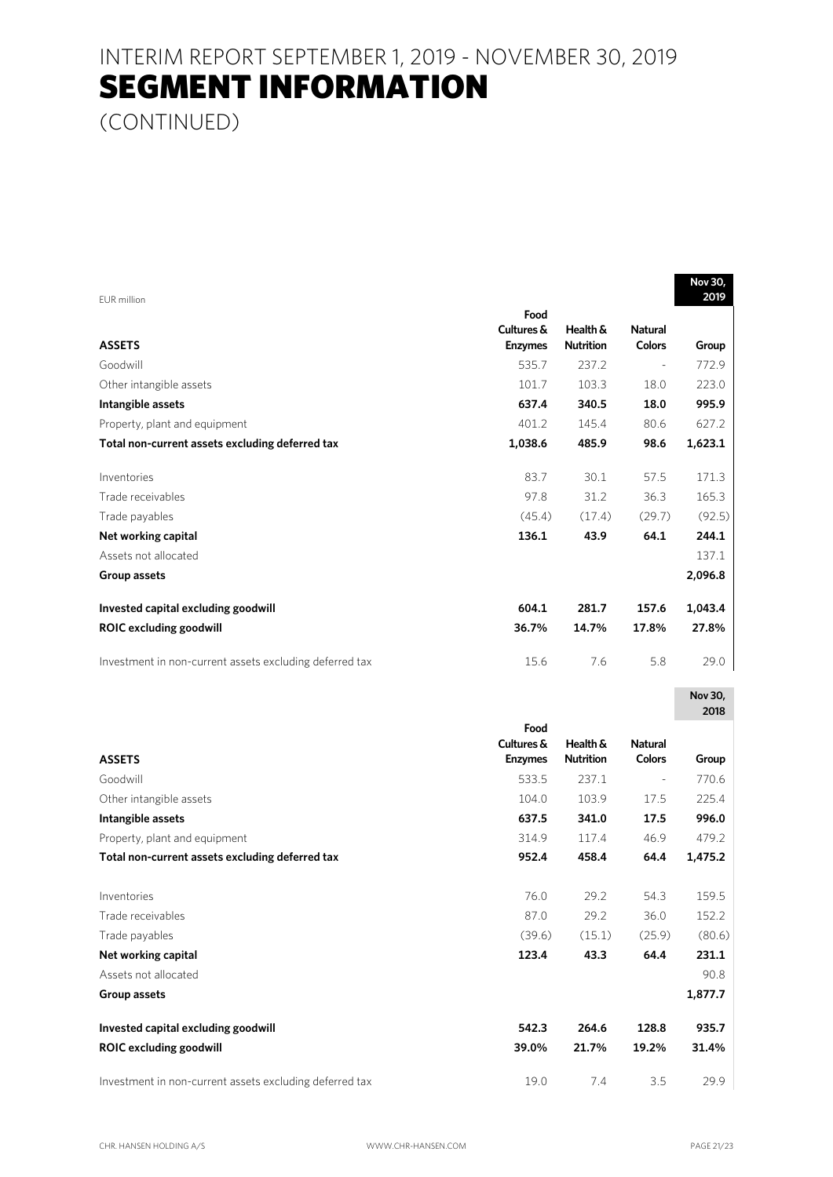(CONTINUED)

| EUR million                                             |                                      |                              |                                 | NOV 3U,<br>2019 |
|---------------------------------------------------------|--------------------------------------|------------------------------|---------------------------------|-----------------|
| <b>ASSETS</b>                                           | Food<br>Cultures &<br><b>Enzymes</b> | Health &<br><b>Nutrition</b> | <b>Natural</b><br><b>Colors</b> | Group           |
| Goodwill                                                | 535.7                                | 237.2                        | $\blacksquare$                  | 772.9           |
| Other intangible assets                                 | 101.7                                | 103.3                        | 18.0                            | 223.0           |
| Intangible assets                                       | 637.4                                | 340.5                        | 18.0                            | 995.9           |
| Property, plant and equipment                           | 401.2                                | 145.4                        | 80.6                            | 627.2           |
| Total non-current assets excluding deferred tax         | 1,038.6                              | 485.9                        | 98.6                            | 1,623.1         |
| Inventories                                             | 83.7                                 | 30.1                         | 57.5                            | 171.3           |
| Trade receivables                                       | 97.8                                 | 31.2                         | 36.3                            | 165.3           |
| Trade payables                                          | (45.4)                               | (17.4)                       | (29.7)                          | (92.5)          |
| Net working capital                                     | 136.1                                | 43.9                         | 64.1                            | 244.1           |
| Assets not allocated                                    |                                      |                              |                                 | 137.1           |
| Group assets                                            |                                      |                              |                                 | 2,096.8         |
| Invested capital excluding goodwill                     | 604.1                                | 281.7                        | 157.6                           | 1,043.4         |
| <b>ROIC excluding goodwill</b>                          | 36.7%                                | 14.7%                        | 17.8%                           | 27.8%           |
| Investment in non-current assets excluding deferred tax | 15.6                                 | 7.6                          | 5.8                             | 29.0            |
|                                                         |                                      |                              |                                 | Nov 30,<br>2018 |
|                                                         | Food                                 |                              |                                 |                 |
|                                                         | Cultures &                           | Health &                     | <b>Natural</b>                  |                 |
| <b>ASSETS</b>                                           | <b>Enzymes</b>                       | <b>Nutrition</b>             | <b>Colors</b>                   | Group           |
| Goodwill                                                | 533.5                                | 237.1                        | $\qquad \qquad \blacksquare$    | 770.6           |
| Other intangible assets                                 | 104.0                                | 103.9                        | 17.5                            | 225.4           |
| Intangible assets                                       | 637.5                                | 341.0                        | 17.5                            | 996.0           |
| Property, plant and equipment                           | 314.9                                | 117.4                        | 46.9                            | 479.2           |
| Total non-current assets excluding deferred tax         | 952.4                                | 458.4                        | 64.4                            | 1,475.2         |
| Inventories                                             | 76.0                                 | 29.2                         | 54.3                            | 159.5           |
| Trade receivables                                       | 87.0                                 | 29.2                         | 36.0                            | 152.2           |
| Trade payables                                          | (39.6)                               | (15.1)                       | (25.9)                          | (80.6)          |
| Net working capital                                     | 123.4                                | 43.3                         | 64.4                            | 231.1           |
| Assets not allocated                                    |                                      |                              |                                 | 90.8            |
| Group assets                                            |                                      |                              |                                 | 1,877.7         |
| Invested capital excluding goodwill                     | 542.3                                | 264.6                        | 128.8                           | 935.7           |
| <b>ROIC excluding goodwill</b>                          | 39.0%                                | 21.7%                        | 19.2%                           | 31.4%           |
| Investment in non-current assets excluding deferred tax | 19.0                                 | 7.4                          | 3.5                             | 29.9            |

**Nov 30, 30, 30, 30**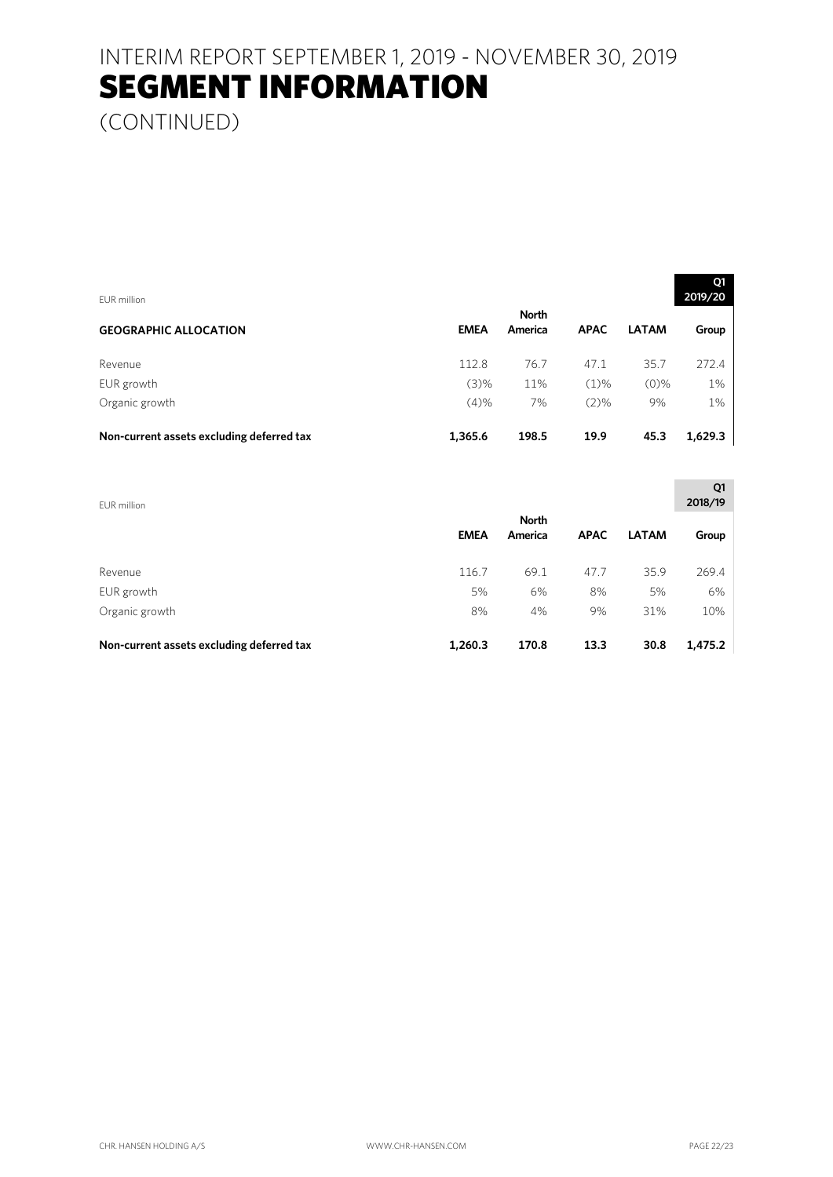(CONTINUED)

| EUR million                               |             |                         |             |              | Q1<br>2019/20 |
|-------------------------------------------|-------------|-------------------------|-------------|--------------|---------------|
| <b>GEOGRAPHIC ALLOCATION</b>              | <b>EMEA</b> | <b>North</b><br>America | <b>APAC</b> | <b>LATAM</b> | Group         |
| Revenue                                   | 112.8       | 76.7                    | 47.1        | 35.7         | 272.4         |
| EUR growth                                | (3)%        | 11%                     | $(1)\%$     | $(0)\%$      | 1%            |
| Organic growth                            | (4)%        | 7%                      | $(2)\%$     | 9%           | 1%            |
| Non-current assets excluding deferred tax | 1,365.6     | 198.5                   | 19.9        | 45.3         | 1,629.3       |

| EUR million                               |             |              |             |              | Q1<br>2018/19 |
|-------------------------------------------|-------------|--------------|-------------|--------------|---------------|
|                                           |             | <b>North</b> |             |              |               |
|                                           | <b>EMEA</b> | America      | <b>APAC</b> | <b>LATAM</b> | Group         |
|                                           |             |              |             |              |               |
| Revenue                                   | 116.7       | 69.1         | 47.7        | 35.9         | 269.4         |
| EUR growth                                | 5%          | 6%           | 8%          | 5%           | 6%            |
| Organic growth                            | 8%          | 4%           | 9%          | 31%          | 10%           |
|                                           |             |              |             |              |               |
| Non-current assets excluding deferred tax | 1,260.3     | 170.8        | 13.3        | 30.8         | 1,475.2       |